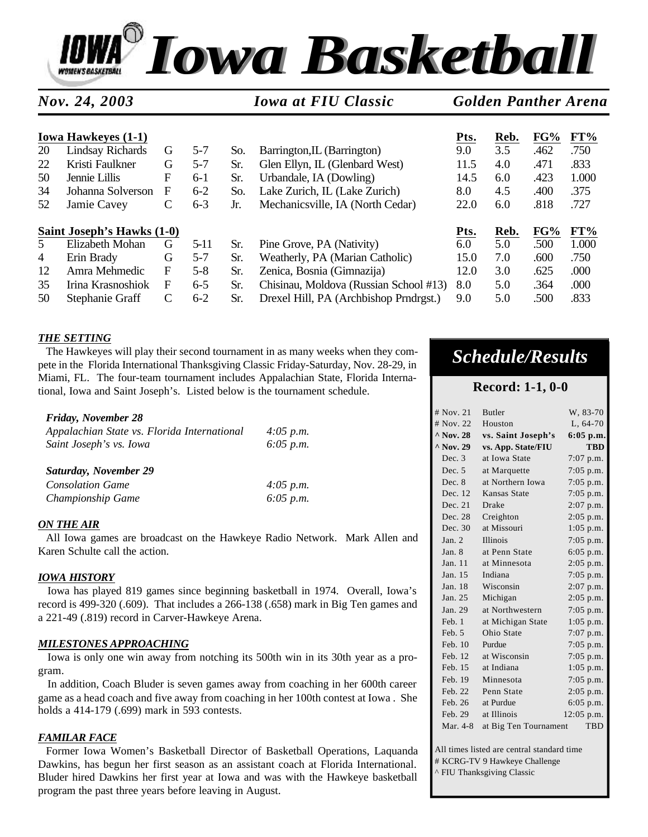

| Nov. 24, 2003              |                            |             |         |     | <b>Iowa at FIU Classic</b>             | <b>Golden Panther Arena</b> |      |      |        |  |
|----------------------------|----------------------------|-------------|---------|-----|----------------------------------------|-----------------------------|------|------|--------|--|
| <b>Iowa Hawkeyes (1-1)</b> |                            |             |         |     |                                        | Pts.                        | Reb. | FG%  | $FT\%$ |  |
| 20                         | <b>Lindsay Richards</b>    | G           | $5 - 7$ | So. | Barrington, IL (Barrington)            | 9.0                         | 3.5  | .462 | .750   |  |
| 22                         | Kristi Faulkner            | G           | $5 - 7$ | Sr. | Glen Ellyn, IL (Glenbard West)         | 11.5                        | 4.0  | .471 | .833   |  |
| 50                         | Jennie Lillis              | $\mathbf F$ | $6-1$   | Sr. | Urbandale, IA (Dowling)                | 14.5                        | 6.0  | .423 | 1.000  |  |
| 34                         | Johanna Solverson          | $\mathbf F$ | $6 - 2$ | So. | Lake Zurich, IL (Lake Zurich)          | 8.0                         | 4.5  | .400 | .375   |  |
| 52                         | Jamie Cavey                | C           | $6 - 3$ | Jr. | Mechanicsville, IA (North Cedar)       | 22.0                        | 6.0  | .818 | .727   |  |
|                            | Saint Joseph's Hawks (1-0) |             |         |     |                                        | Pts.                        | Reb. | FG%  | FT%    |  |
| $\mathcal{F}$              | Elizabeth Mohan            | G           | $5-11$  | Sr. | Pine Grove, PA (Nativity)              | 6.0                         | 5.0  | .500 | 1.000  |  |
| 4                          | Erin Brady                 | G           | $5 - 7$ | Sr. | Weatherly, PA (Marian Catholic)        | 15.0                        | 7.0  | .600 | .750   |  |
| 12                         | Amra Mehmedic              | $\mathbf F$ | $5 - 8$ | Sr. | Zenica, Bosnia (Gimnazija)             | 12.0                        | 3.0  | .625 | .000   |  |
| 35                         | Irina Krasnoshiok          | $\mathbf F$ | $6 - 5$ | Sr. | Chisinau, Moldova (Russian School #13) | 8.0                         | 5.0  | .364 | .000   |  |
| 50                         | Stephanie Graff            | C           | $6 - 2$ | Sr. | Drexel Hill, PA (Archbishop Prndrgst.) | 9.0                         | 5.0  | .500 | .833   |  |

#### *THE SETTING*

The Hawkeyes will play their second tournament in as many weeks when they compete in the Florida International Thanksgiving Classic Friday-Saturday, Nov. 28-29, in Miami, FL. The four-team tournament includes Appalachian State, Florida International, Iowa and Saint Joseph's. Listed below is the tournament schedule.

#### *Friday, November 28*

| Appalachian State vs. Florida International | $4:05 \, p.m.$ |
|---------------------------------------------|----------------|
| Saint Joseph's vs. Iowa                     | $6:05 \, p.m.$ |
|                                             |                |

#### *Saturday, November 29*

| <b>Consolation Game</b> | $4:05 \; p.m.$ |
|-------------------------|----------------|
| Championship Game       | $6:05$ p.m.    |

#### *ON THE AIR*

All Iowa games are broadcast on the Hawkeye Radio Network. Mark Allen and Karen Schulte call the action.

#### *IOWA HISTORY*

Iowa has played 819 games since beginning basketball in 1974. Overall, Iowa's record is 499-320 (.609). That includes a 266-138 (.658) mark in Big Ten games and a 221-49 (.819) record in Carver-Hawkeye Arena.

#### *MILESTONES APPROACHING*

Iowa is only one win away from notching its 500th win in its 30th year as a program.

In addition, Coach Bluder is seven games away from coaching in her 600th career game as a head coach and five away from coaching in her 100th contest at Iowa . She holds a 414-179 (.699) mark in 593 contests.

#### *FAMILAR FACE*

Former Iowa Women's Basketball Director of Basketball Operations, Laquanda Dawkins, has begun her first season as an assistant coach at Florida International. Bluder hired Dawkins her first year at Iowa and was with the Hawkeye basketball program the past three years before leaving in August.

### *Schedule/Results*

#### **Record: 1-1, 0-0**

| # Nov. 21           | <b>Butler</b>         | W, 83-70     |
|---------------------|-----------------------|--------------|
| # Nov. 22           | Houston               | L, 64-70     |
| $^{\wedge}$ Nov. 28 | vs. Saint Joseph's    | $6:05$ p.m.  |
| $^{\wedge}$ Nov. 29 | vs. App. State/FIU    | <b>TBD</b>   |
| Dec. 3              | at Iowa State         | $7:07$ p.m.  |
| Dec. 5              | at Marquette          | $7:05$ p.m.  |
| Dec. 8              | at Northern Iowa      | $7:05$ p.m.  |
| Dec. 12             | Kansas State          | $7:05$ p.m.  |
| Dec. 21             | Drake                 | 2:07 p.m.    |
| Dec. 28             | Creighton             | $2:05$ p.m.  |
| Dec. 30             | at Missouri           | $1:05$ p.m.  |
| Jan. $2$            | <b>Illinois</b>       | $7:05$ p.m.  |
| Jan. 8              | at Penn State         | $6:05$ p.m.  |
| Jan.11              | at Minnesota          | $2:05$ p.m.  |
| Jan. 15             | Indiana               | $7:05$ p.m.  |
| Jan. 18             | Wisconsin             | $2:07$ p.m.  |
| Jan. 25             | Michigan              | $2:05$ p.m.  |
| Jan. 29             | at Northwestern       | $7:05$ p.m.  |
| Feb. 1              | at Michigan State     | $1:05$ p.m.  |
| Feb. 5              | Ohio State            | $7:07$ p.m.  |
| Feb. 10             | Purdue                | $7:05$ p.m.  |
| Feb. 12             | at Wisconsin          | $7:05$ p.m.  |
| Feb. 15             | at Indiana            | 1:05 p.m.    |
| Feb. 19             | Minnesota             | $7:05$ p.m.  |
| Feb. 22             | Penn State            | $2:05$ p.m.  |
| Feb. 26             | at Purdue             | $6:05$ p.m.  |
| Feb. 29             | at Illinois           | $12:05$ p.m. |
| Mar. 4-8            | at Big Ten Tournament | <b>TBD</b>   |

All times listed are central standard time # KCRG-TV 9 Hawkeye Challenge ^ FIU Thanksgiving Classic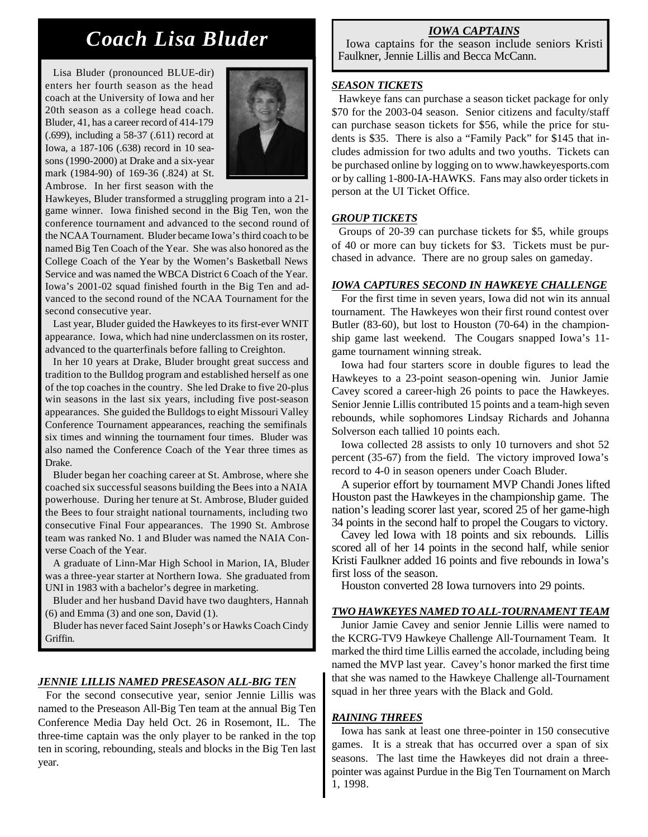## *Coach Lisa Bluder*

Lisa Bluder (pronounced BLUE-dir) enters her fourth season as the head coach at the University of Iowa and her 20th season as a college head coach. Bluder, 41, has a career record of 414-179 (.699), including a 58-37 (.611) record at Iowa, a 187-106 (.638) record in 10 seasons (1990-2000) at Drake and a six-year mark (1984-90) of 169-36 (.824) at St. Ambrose. In her first season with the



Hawkeyes, Bluder transformed a struggling program into a 21 game winner. Iowa finished second in the Big Ten, won the conference tournament and advanced to the second round of the NCAA Tournament. Bluder became Iowa's third coach to be named Big Ten Coach of the Year. She was also honored as the College Coach of the Year by the Women's Basketball News Service and was named the WBCA District 6 Coach of the Year. Iowa's 2001-02 squad finished fourth in the Big Ten and advanced to the second round of the NCAA Tournament for the second consecutive year.

Last year, Bluder guided the Hawkeyes to its first-ever WNIT appearance. Iowa, which had nine underclassmen on its roster, advanced to the quarterfinals before falling to Creighton.

In her 10 years at Drake, Bluder brought great success and tradition to the Bulldog program and established herself as one of the top coaches in the country. She led Drake to five 20-plus win seasons in the last six years, including five post-season appearances. She guided the Bulldogs to eight Missouri Valley Conference Tournament appearances, reaching the semifinals six times and winning the tournament four times. Bluder was also named the Conference Coach of the Year three times as Drake.

Bluder began her coaching career at St. Ambrose, where she coached six successful seasons building the Bees into a NAIA powerhouse. During her tenure at St. Ambrose, Bluder guided the Bees to four straight national tournaments, including two consecutive Final Four appearances. The 1990 St. Ambrose team was ranked No. 1 and Bluder was named the NAIA Converse Coach of the Year.

A graduate of Linn-Mar High School in Marion, IA, Bluder was a three-year starter at Northern Iowa. She graduated from UNI in 1983 with a bachelor's degree in marketing.

Bluder and her husband David have two daughters, Hannah (6) and Emma (3) and one son, David (1).

Bluder has never faced Saint Joseph's or Hawks Coach Cindy Griffin.

#### *JENNIE LILLIS NAMED PRESEASON ALL-BIG TEN*

For the second consecutive year, senior Jennie Lillis was named to the Preseason All-Big Ten team at the annual Big Ten Conference Media Day held Oct. 26 in Rosemont, IL. The three-time captain was the only player to be ranked in the top ten in scoring, rebounding, steals and blocks in the Big Ten last year.

*IOWA CAPTAINS*

Iowa captains for the season include seniors Kristi Faulkner, Jennie Lillis and Becca McCann.

#### *SEASON TICKETS*

Hawkeye fans can purchase a season ticket package for only \$70 for the 2003-04 season. Senior citizens and faculty/staff can purchase season tickets for \$56, while the price for students is \$35. There is also a "Family Pack" for \$145 that includes admission for two adults and two youths. Tickets can be purchased online by logging on to www.hawkeyesports.com or by calling 1-800-IA-HAWKS. Fans may also order tickets in person at the UI Ticket Office.

#### *GROUP TICKETS*

Groups of 20-39 can purchase tickets for \$5, while groups of 40 or more can buy tickets for \$3. Tickets must be purchased in advance. There are no group sales on gameday.

#### *IOWA CAPTURES SECOND IN HAWKEYE CHALLENGE*

For the first time in seven years, Iowa did not win its annual tournament. The Hawkeyes won their first round contest over Butler (83-60), but lost to Houston (70-64) in the championship game last weekend. The Cougars snapped Iowa's 11 game tournament winning streak.

Iowa had four starters score in double figures to lead the Hawkeyes to a 23-point season-opening win. Junior Jamie Cavey scored a career-high 26 points to pace the Hawkeyes. Senior Jennie Lillis contributed 15 points and a team-high seven rebounds, while sophomores Lindsay Richards and Johanna Solverson each tallied 10 points each.

Iowa collected 28 assists to only 10 turnovers and shot 52 percent (35-67) from the field. The victory improved Iowa's record to 4-0 in season openers under Coach Bluder.

A superior effort by tournament MVP Chandi Jones lifted Houston past the Hawkeyes in the championship game. The nation's leading scorer last year, scored 25 of her game-high 34 points in the second half to propel the Cougars to victory.

Cavey led Iowa with 18 points and six rebounds. Lillis scored all of her 14 points in the second half, while senior Kristi Faulkner added 16 points and five rebounds in Iowa's first loss of the season.

Houston converted 28 Iowa turnovers into 29 points.

#### *TWO HAWKEYES NAMED TO ALL-TOURNAMENT TEAM*

Junior Jamie Cavey and senior Jennie Lillis were named to the KCRG-TV9 Hawkeye Challenge All-Tournament Team. It marked the third time Lillis earned the accolade, including being named the MVP last year. Cavey's honor marked the first time that she was named to the Hawkeye Challenge all-Tournament squad in her three years with the Black and Gold.

#### *RAINING THREES*

Iowa has sank at least one three-pointer in 150 consecutive games. It is a streak that has occurred over a span of six seasons. The last time the Hawkeyes did not drain a threepointer was against Purdue in the Big Ten Tournament on March 1, 1998.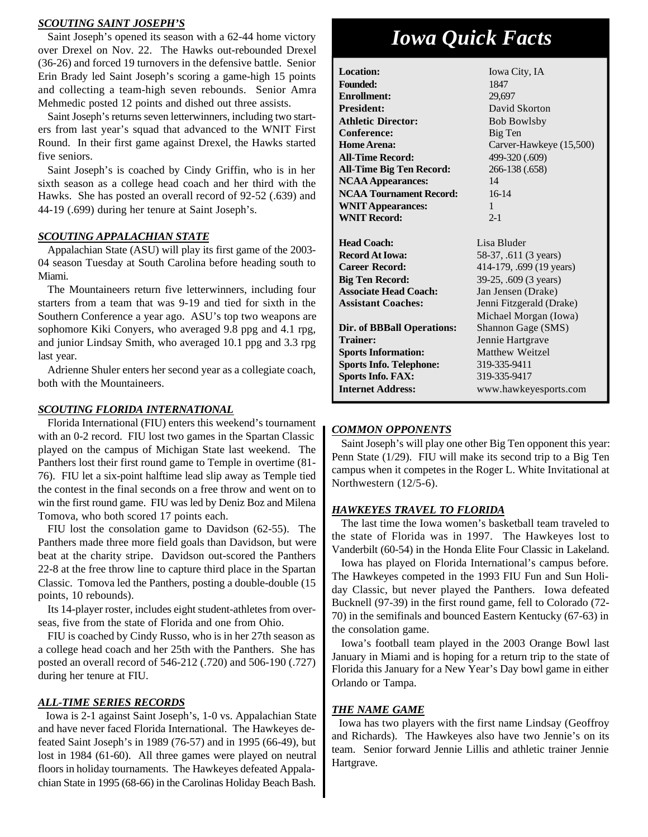#### *SCOUTING SAINT JOSEPH'S*

Saint Joseph's opened its season with a 62-44 home victory over Drexel on Nov. 22. The Hawks out-rebounded Drexel (36-26) and forced 19 turnovers in the defensive battle. Senior Erin Brady led Saint Joseph's scoring a game-high 15 points and collecting a team-high seven rebounds. Senior Amra Mehmedic posted 12 points and dished out three assists.

Saint Joseph's returns seven letterwinners, including two starters from last year's squad that advanced to the WNIT First Round. In their first game against Drexel, the Hawks started five seniors.

Saint Joseph's is coached by Cindy Griffin, who is in her sixth season as a college head coach and her third with the Hawks. She has posted an overall record of 92-52 (.639) and 44-19 (.699) during her tenure at Saint Joseph's.

#### *SCOUTING APPALACHIAN STATE*

Appalachian State (ASU) will play its first game of the 2003- 04 season Tuesday at South Carolina before heading south to Miami.

The Mountaineers return five letterwinners, including four starters from a team that was 9-19 and tied for sixth in the Southern Conference a year ago. ASU's top two weapons are sophomore Kiki Conyers, who averaged 9.8 ppg and 4.1 rpg, and junior Lindsay Smith, who averaged 10.1 ppg and 3.3 rpg last year.

Adrienne Shuler enters her second year as a collegiate coach, both with the Mountaineers.

#### *SCOUTING FLORIDA INTERNATIONAL*

Florida International (FIU) enters this weekend's tournament with an 0-2 record. FIU lost two games in the Spartan Classic played on the campus of Michigan State last weekend. The Panthers lost their first round game to Temple in overtime (81- 76). FIU let a six-point halftime lead slip away as Temple tied the contest in the final seconds on a free throw and went on to win the first round game. FIU was led by Deniz Boz and Milena Tomova, who both scored 17 points each.

FIU lost the consolation game to Davidson (62-55). The Panthers made three more field goals than Davidson, but were beat at the charity stripe. Davidson out-scored the Panthers 22-8 at the free throw line to capture third place in the Spartan Classic. Tomova led the Panthers, posting a double-double (15 points, 10 rebounds).

Its 14-player roster, includes eight student-athletes from overseas, five from the state of Florida and one from Ohio.

FIU is coached by Cindy Russo, who is in her 27th season as a college head coach and her 25th with the Panthers. She has posted an overall record of 546-212 (.720) and 506-190 (.727) during her tenure at FIU.

#### *ALL-TIME SERIES RECORDS*

Iowa is 2-1 against Saint Joseph's, 1-0 vs. Appalachian State and have never faced Florida International. The Hawkeyes defeated Saint Joseph's in 1989 (76-57) and in 1995 (66-49), but lost in 1984 (61-60). All three games were played on neutral floors in holiday tournaments. The Hawkeyes defeated Appalachian State in 1995 (68-66) in the Carolinas Holiday Beach Bash.

## *Iowa Quick Facts*

Location: Iowa City, IA **Founded:** 1847 **Enrollment:** 29,697 **President:** David Skorton Athletic Director: Bob Bowlsby **Conference:** Big Ten **Home Arena:** Carver-Hawkeye (15,500) **All-Time Record:** 499-320 (.609) **All-Time Big Ten Record:** 266-138 (.658) **NCAA Appearances:** 14 **NCAA Tournament Record:** 16-14 **WNIT Appearances:** 1 **WNIT Record:** 2-1 **Head Coach:** Lisa Bluder **Record At Iowa:** 58-37, .611 (3 years) **Career Record:** 414-179, .699 (19 years) **Big Ten Record:** 39-25, .609 (3 years) **Associate Head Coach:** Jan Jensen (Drake) **Assistant Coaches:** Jenni Fitzgerald (Drake) Michael Morgan (Iowa) **Dir. of BBBall Operations:** Shannon Gage (SMS) **Trainer:** Jennie Hartgrave **Sports Information:** Matthew Weitzel **Sports Info. Telephone:** 319-335-9411

**Sports Info. FAX:** 319-335-9417

#### *COMMON OPPONENTS*

Saint Joseph's will play one other Big Ten opponent this year: Penn State (1/29). FIU will make its second trip to a Big Ten campus when it competes in the Roger L. White Invitational at Northwestern (12/5-6).

**Internet Address:** www.hawkeyesports.com

#### *HAWKEYES TRAVEL TO FLORIDA*

The last time the Iowa women's basketball team traveled to the state of Florida was in 1997. The Hawkeyes lost to Vanderbilt (60-54) in the Honda Elite Four Classic in Lakeland.

Iowa has played on Florida International's campus before. The Hawkeyes competed in the 1993 FIU Fun and Sun Holiday Classic, but never played the Panthers. Iowa defeated Bucknell (97-39) in the first round game, fell to Colorado (72- 70) in the semifinals and bounced Eastern Kentucky (67-63) in the consolation game.

Iowa's football team played in the 2003 Orange Bowl last January in Miami and is hoping for a return trip to the state of Florida this January for a New Year's Day bowl game in either Orlando or Tampa.

#### *THE NAME GAME*

Iowa has two players with the first name Lindsay (Geoffroy and Richards). The Hawkeyes also have two Jennie's on its team. Senior forward Jennie Lillis and athletic trainer Jennie Hartgrave.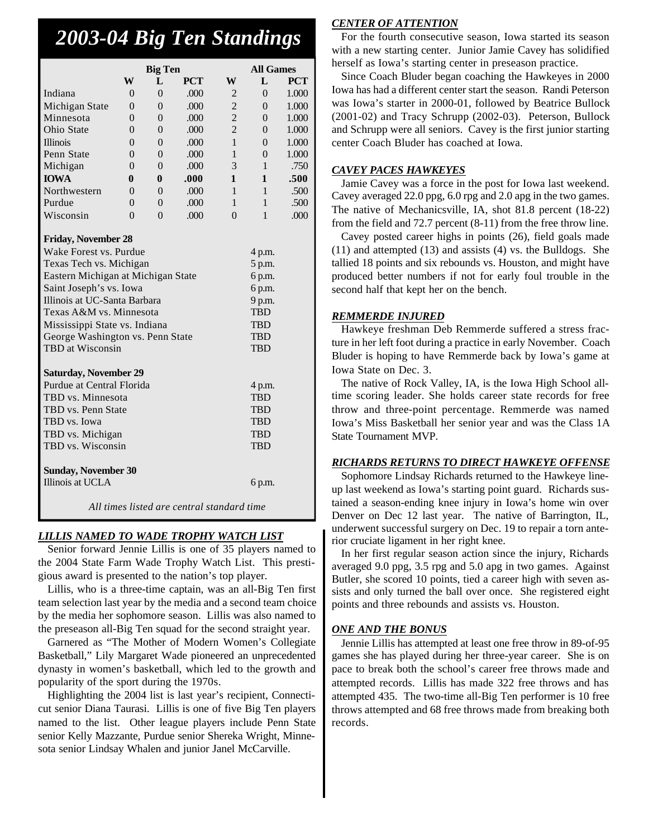## *2003-04 Big Ten Standings*

|                                    |                | <b>Big Ten</b> |            |                | <b>All Games</b> |            |  |  |  |
|------------------------------------|----------------|----------------|------------|----------------|------------------|------------|--|--|--|
|                                    | W              | L              | <b>PCT</b> | W              | $\mathbf{L}$     | <b>PCT</b> |  |  |  |
| Indiana                            | $\theta$       | $\Omega$       | .000       | $\overline{2}$ | $\theta$         | 1.000      |  |  |  |
| Michigan State                     | $\theta$       | $\theta$       | .000       | $\overline{c}$ | $\theta$         | 1.000      |  |  |  |
| Minnesota                          | $\Omega$       | $\theta$       | .000       | $\overline{c}$ | $\theta$         | 1.000      |  |  |  |
| Ohio State                         | $\theta$       | $\theta$       | .000       | $\overline{2}$ | $\theta$         | 1.000      |  |  |  |
| <b>Illinois</b>                    | $\theta$       | $\Omega$       | .000       | 1              | $\Omega$         | 1.000      |  |  |  |
| Penn State                         | $\theta$       | $\theta$       | .000       | $\mathbf{1}$   | $\theta$         | 1.000      |  |  |  |
| Michigan                           | $\overline{0}$ | $\overline{0}$ | .000       | 3              | $\mathbf{1}$     | .750       |  |  |  |
| <b>IOWA</b>                        | $\bf{0}$       | $\bf{0}$       | .000       | 1              | $\mathbf{1}$     | .500       |  |  |  |
| Northwestern                       | $\theta$       | $\theta$       | .000       | $\mathbf{1}$   | $\mathbf{1}$     | .500       |  |  |  |
| Purdue                             | $\Omega$       | $\theta$       | .000       | $\mathbf{1}$   | $\mathbf{1}$     | .500       |  |  |  |
| Wisconsin                          | $\theta$       | $\Omega$       | .000       | $\overline{0}$ | $\mathbf{1}$     | .000       |  |  |  |
| <b>Friday, November 28</b>         |                |                |            |                |                  |            |  |  |  |
| Wake Forest vs. Purdue             |                |                |            |                | 4 p.m.           |            |  |  |  |
| Texas Tech vs. Michigan            |                |                |            |                | 5 p.m.           |            |  |  |  |
| Eastern Michigan at Michigan State |                |                |            |                | 6 p.m.           |            |  |  |  |
| Saint Joseph's vs. Iowa            |                |                |            |                | 6 p.m.           |            |  |  |  |
| Illinois at UC-Santa Barbara       |                |                |            |                | 9 p.m.           |            |  |  |  |
| Texas A&M vs. Minnesota            |                |                |            |                | <b>TBD</b>       |            |  |  |  |
| Mississippi State vs. Indiana      |                |                |            |                | <b>TBD</b>       |            |  |  |  |
| George Washington vs. Penn State   |                |                |            |                | <b>TBD</b>       |            |  |  |  |
| <b>TBD</b> at Wisconsin            |                |                |            |                | <b>TBD</b>       |            |  |  |  |
| <b>Saturday, November 29</b>       |                |                |            |                |                  |            |  |  |  |
| Purdue at Central Florida          |                |                |            |                | 4 p.m.           |            |  |  |  |
| TBD vs. Minnesota                  |                |                |            |                | <b>TBD</b>       |            |  |  |  |
| TBD vs. Penn State                 |                |                |            |                | <b>TBD</b>       |            |  |  |  |
| TBD vs. Iowa                       |                |                |            |                | <b>TBD</b>       |            |  |  |  |
| TBD vs. Michigan                   |                |                |            |                | <b>TBD</b>       |            |  |  |  |
| TBD vs. Wisconsin<br><b>TBD</b>    |                |                |            |                |                  |            |  |  |  |
| <b>Sunday, November 30</b>         |                |                |            |                |                  |            |  |  |  |
| Illinois at UCLA<br>6 p.m.         |                |                |            |                |                  |            |  |  |  |
| 1.77                               |                |                |            |                |                  |            |  |  |  |

*All times listed are central standard time*

#### *LILLIS NAMED TO WADE TROPHY WATCH LIST*

Senior forward Jennie Lillis is one of 35 players named to the 2004 State Farm Wade Trophy Watch List. This prestigious award is presented to the nation's top player.

Lillis, who is a three-time captain, was an all-Big Ten first team selection last year by the media and a second team choice by the media her sophomore season. Lillis was also named to the preseason all-Big Ten squad for the second straight year.

Garnered as "The Mother of Modern Women's Collegiate Basketball," Lily Margaret Wade pioneered an unprecedented dynasty in women's basketball, which led to the growth and popularity of the sport during the 1970s.

Highlighting the 2004 list is last year's recipient, Connecticut senior Diana Taurasi. Lillis is one of five Big Ten players named to the list. Other league players include Penn State senior Kelly Mazzante, Purdue senior Shereka Wright, Minnesota senior Lindsay Whalen and junior Janel McCarville.

#### *CENTER OF ATTENTION*

For the fourth consecutive season, Iowa started its season with a new starting center. Junior Jamie Cavey has solidified herself as Iowa's starting center in preseason practice.

Since Coach Bluder began coaching the Hawkeyes in 2000 Iowa has had a different center start the season. Randi Peterson was Iowa's starter in 2000-01, followed by Beatrice Bullock (2001-02) and Tracy Schrupp (2002-03). Peterson, Bullock and Schrupp were all seniors. Cavey is the first junior starting center Coach Bluder has coached at Iowa.

#### *CAVEY PACES HAWKEYES*

Jamie Cavey was a force in the post for Iowa last weekend. Cavey averaged 22.0 ppg, 6.0 rpg and 2.0 apg in the two games. The native of Mechanicsville, IA, shot 81.8 percent (18-22) from the field and 72.7 percent (8-11) from the free throw line.

Cavey posted career highs in points (26), field goals made (11) and attempted (13) and assists (4) vs. the Bulldogs. She tallied 18 points and six rebounds vs. Houston, and might have produced better numbers if not for early foul trouble in the second half that kept her on the bench.

#### *REMMERDE INJURED*

Hawkeye freshman Deb Remmerde suffered a stress fracture in her left foot during a practice in early November. Coach Bluder is hoping to have Remmerde back by Iowa's game at Iowa State on Dec. 3.

The native of Rock Valley, IA, is the Iowa High School alltime scoring leader. She holds career state records for free throw and three-point percentage. Remmerde was named Iowa's Miss Basketball her senior year and was the Class 1A State Tournament MVP.

#### *RICHARDS RETURNS TO DIRECT HAWKEYE OFFENSE*

Sophomore Lindsay Richards returned to the Hawkeye lineup last weekend as Iowa's starting point guard. Richards sustained a season-ending knee injury in Iowa's home win over Denver on Dec 12 last year. The native of Barrington, IL, underwent successful surgery on Dec. 19 to repair a torn anterior cruciate ligament in her right knee.

In her first regular season action since the injury, Richards averaged 9.0 ppg, 3.5 rpg and 5.0 apg in two games. Against Butler, she scored 10 points, tied a career high with seven assists and only turned the ball over once. She registered eight points and three rebounds and assists vs. Houston.

#### *ONE AND THE BONUS*

Jennie Lillis has attempted at least one free throw in 89-of-95 games she has played during her three-year career. She is on pace to break both the school's career free throws made and attempted records. Lillis has made 322 free throws and has attempted 435. The two-time all-Big Ten performer is 10 free throws attempted and 68 free throws made from breaking both records.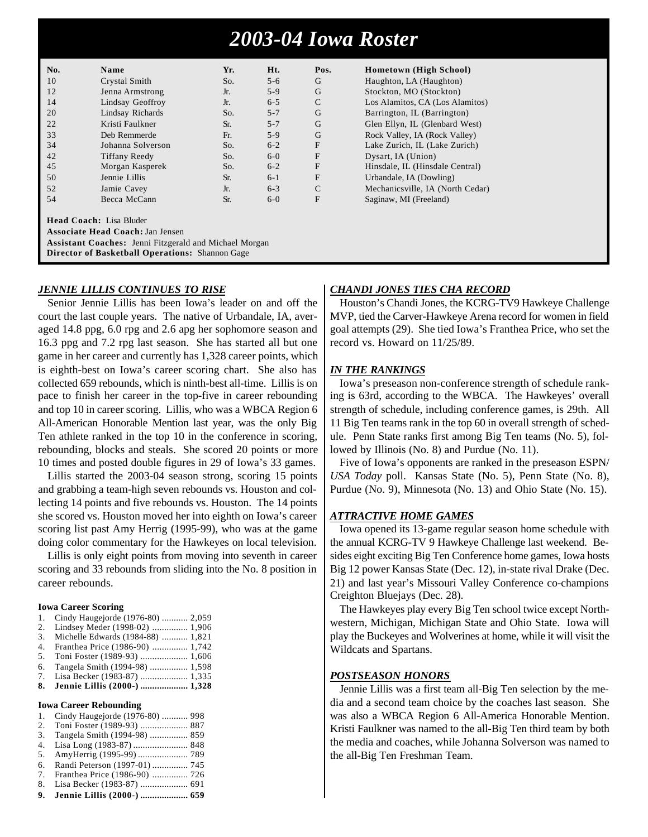## *2003-04 Iowa Roster*

| No.                                                                                                                                                                                           | <b>Name</b>          | Yr. | Ht.     | Pos.          | Hometown (High School)           |  |  |  |  |
|-----------------------------------------------------------------------------------------------------------------------------------------------------------------------------------------------|----------------------|-----|---------|---------------|----------------------------------|--|--|--|--|
| 10                                                                                                                                                                                            | Crystal Smith        | So. | $5 - 6$ | G             | Haughton, LA (Haughton)          |  |  |  |  |
| 12                                                                                                                                                                                            | Jenna Armstrong      | Jr. | $5-9$   | G             | Stockton, MO (Stockton)          |  |  |  |  |
| 14                                                                                                                                                                                            | Lindsay Geoffroy     | Jr. | $6 - 5$ | $\mathcal{C}$ | Los Alamitos, CA (Los Alamitos)  |  |  |  |  |
| 20                                                                                                                                                                                            | Lindsay Richards     | So. | $5 - 7$ | G             | Barrington, IL (Barrington)      |  |  |  |  |
| 22                                                                                                                                                                                            | Kristi Faulkner      | Sr. | $5 - 7$ | G             | Glen Ellyn, IL (Glenbard West)   |  |  |  |  |
| 33                                                                                                                                                                                            | Deb Remmerde         | Fr. | $5-9$   | G             | Rock Valley, IA (Rock Valley)    |  |  |  |  |
| 34                                                                                                                                                                                            | Johanna Solverson    | So. | $6 - 2$ | F             | Lake Zurich, IL (Lake Zurich)    |  |  |  |  |
| 42                                                                                                                                                                                            | <b>Tiffany Reedy</b> | So. | $6-0$   | $\mathbf F$   | Dysart, IA (Union)               |  |  |  |  |
| 45                                                                                                                                                                                            | Morgan Kasperek      | So. | $6 - 2$ | F             | Hinsdale, IL (Hinsdale Central)  |  |  |  |  |
| 50                                                                                                                                                                                            | Jennie Lillis        | Sr. | $6 - 1$ | $\mathbf F$   | Urbandale, IA (Dowling)          |  |  |  |  |
| 52                                                                                                                                                                                            | Jamie Cavey          | Jr. | $6 - 3$ | $\mathcal{C}$ | Mechanicsville, IA (North Cedar) |  |  |  |  |
| 54                                                                                                                                                                                            | Becca McCann         | Sr. | $6-0$   | F             | Saginaw, MI (Freeland)           |  |  |  |  |
| <b>Head Coach: Lisa Bluder</b><br><b>Associate Head Coach: Jan Jensen</b><br><b>Assistant Coaches:</b> Jenni Fitzgerald and Michael Morgan<br>Director of Basketball Operations: Shannon Gage |                      |     |         |               |                                  |  |  |  |  |

#### *JENNIE LILLIS CONTINUES TO RISE*

Senior Jennie Lillis has been Iowa's leader on and off the court the last couple years. The native of Urbandale, IA, averaged 14.8 ppg, 6.0 rpg and 2.6 apg her sophomore season and 16.3 ppg and 7.2 rpg last season. She has started all but one game in her career and currently has 1,328 career points, which is eighth-best on Iowa's career scoring chart. She also has collected 659 rebounds, which is ninth-best all-time. Lillis is on pace to finish her career in the top-five in career rebounding and top 10 in career scoring. Lillis, who was a WBCA Region 6 All-American Honorable Mention last year, was the only Big Ten athlete ranked in the top 10 in the conference in scoring, rebounding, blocks and steals. She scored 20 points or more 10 times and posted double figures in 29 of Iowa's 33 games.

Lillis started the 2003-04 season strong, scoring 15 points and grabbing a team-high seven rebounds vs. Houston and collecting 14 points and five rebounds vs. Houston. The 14 points she scored vs. Houston moved her into eighth on Iowa's career scoring list past Amy Herrig (1995-99), who was at the game doing color commentary for the Hawkeyes on local television.

Lillis is only eight points from moving into seventh in career scoring and 33 rebounds from sliding into the No. 8 position in career rebounds.

#### **Iowa Career Scoring**

| 1. | Cindy Haugejorde (1976-80)  2,059    |  |
|----|--------------------------------------|--|
| 2. | Lindsey Meder (1998-02)  1,906       |  |
|    | 3. Michelle Edwards (1984-88)  1,821 |  |
|    | 4. Franthea Price (1986-90)  1,742   |  |
|    | 5. Toni Foster (1989-93)  1,606      |  |
|    | 6. Tangela Smith (1994-98)  1,598    |  |
|    | 7. Lisa Becker (1983-87)  1,335      |  |
|    | 8. Jennie Lillis (2000-)  1,328      |  |

#### **Iowa Career Rebounding**

| 1. Cindy Haugejorde (1976-80)  998 |  |
|------------------------------------|--|
|                                    |  |

- 3. Tangela Smith (1994-98) ................ 859
- 4. Lisa Long (1983-87) ....................... 848
- 5. AmyHerrig (1995-99) ..................... 789
- 6. Randi Peterson (1997-01) ............... 745
- 7. Franthea Price (1986-90) ............... 726 8. Lisa Becker (1983-87) .................... 691
- **9. Jennie Lillis (2000-) .................... 659**

#### *CHANDI JONES TIES CHA RECORD*

Houston's Chandi Jones, the KCRG-TV9 Hawkeye Challenge MVP, tied the Carver-Hawkeye Arena record for women in field goal attempts (29). She tied Iowa's Franthea Price, who set the record vs. Howard on 11/25/89.

#### *IN THE RANKINGS*

Iowa's preseason non-conference strength of schedule ranking is 63rd, according to the WBCA. The Hawkeyes' overall strength of schedule, including conference games, is 29th. All 11 Big Ten teams rank in the top 60 in overall strength of schedule. Penn State ranks first among Big Ten teams (No. 5), followed by Illinois (No. 8) and Purdue (No. 11).

Five of Iowa's opponents are ranked in the preseason ESPN/ *USA Today* poll. Kansas State (No. 5), Penn State (No. 8), Purdue (No. 9), Minnesota (No. 13) and Ohio State (No. 15).

#### *ATTRACTIVE HOME GAMES*

Iowa opened its 13-game regular season home schedule with the annual KCRG-TV 9 Hawkeye Challenge last weekend. Besides eight exciting Big Ten Conference home games, Iowa hosts Big 12 power Kansas State (Dec. 12), in-state rival Drake (Dec. 21) and last year's Missouri Valley Conference co-champions Creighton Bluejays (Dec. 28).

The Hawkeyes play every Big Ten school twice except Northwestern, Michigan, Michigan State and Ohio State. Iowa will play the Buckeyes and Wolverines at home, while it will visit the Wildcats and Spartans.

#### *POSTSEASON HONORS*

Jennie Lillis was a first team all-Big Ten selection by the media and a second team choice by the coaches last season. She was also a WBCA Region 6 All-America Honorable Mention. Kristi Faulkner was named to the all-Big Ten third team by both the media and coaches, while Johanna Solverson was named to the all-Big Ten Freshman Team.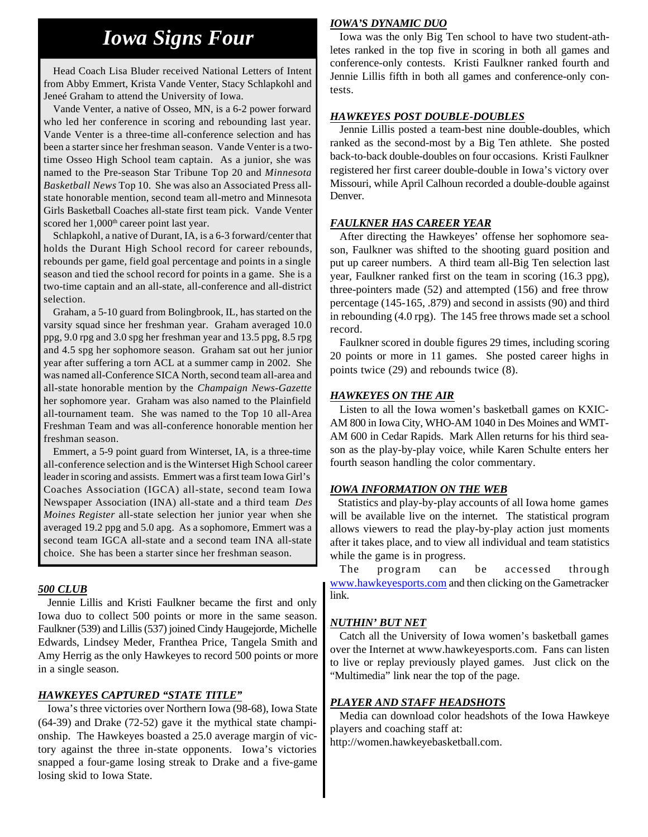## *Iowa Signs Four*

Head Coach Lisa Bluder received National Letters of Intent from Abby Emmert, Krista Vande Venter, Stacy Schlapkohl and Jeneé Graham to attend the University of Iowa.

Vande Venter, a native of Osseo, MN, is a 6-2 power forward who led her conference in scoring and rebounding last year. Vande Venter is a three-time all-conference selection and has been a starter since her freshman season. Vande Venter is a twotime Osseo High School team captain. As a junior, she was named to the Pre-season Star Tribune Top 20 and *Minnesota Basketball News* Top 10. She was also an Associated Press allstate honorable mention, second team all-metro and Minnesota Girls Basketball Coaches all-state first team pick. Vande Venter scored her 1,000<sup>th</sup> career point last year.

Schlapkohl, a native of Durant, IA, is a 6-3 forward/center that holds the Durant High School record for career rebounds, rebounds per game, field goal percentage and points in a single season and tied the school record for points in a game. She is a two-time captain and an all-state, all-conference and all-district selection.

Graham, a 5-10 guard from Bolingbrook, IL, has started on the varsity squad since her freshman year. Graham averaged 10.0 ppg, 9.0 rpg and 3.0 spg her freshman year and 13.5 ppg, 8.5 rpg and 4.5 spg her sophomore season. Graham sat out her junior year after suffering a torn ACL at a summer camp in 2002. She was named all-Conference SICA North, second team all-area and all-state honorable mention by the *Champaign News-Gazette* her sophomore year. Graham was also named to the Plainfield all-tournament team. She was named to the Top 10 all-Area Freshman Team and was all-conference honorable mention her freshman season.

Emmert, a 5-9 point guard from Winterset, IA, is a three-time all-conference selection and is the Winterset High School career leader in scoring and assists. Emmert was a first team Iowa Girl's Coaches Association (IGCA) all-state, second team Iowa Newspaper Association (INA) all-state and a third team *Des Moines Register* all-state selection her junior year when she averaged 19.2 ppg and 5.0 apg. As a sophomore, Emmert was a second team IGCA all-state and a second team INA all-state choice. She has been a starter since her freshman season.

#### *500 CLUB*

Jennie Lillis and Kristi Faulkner became the first and only Iowa duo to collect 500 points or more in the same season. Faulkner (539) and Lillis (537) joined Cindy Haugejorde, Michelle Edwards, Lindsey Meder, Franthea Price, Tangela Smith and Amy Herrig as the only Hawkeyes to record 500 points or more in a single season.

#### *HAWKEYES CAPTURED "STATE TITLE"*

Iowa's three victories over Northern Iowa (98-68), Iowa State (64-39) and Drake (72-52) gave it the mythical state championship. The Hawkeyes boasted a 25.0 average margin of victory against the three in-state opponents. Iowa's victories snapped a four-game losing streak to Drake and a five-game losing skid to Iowa State.

#### *IOWA'S DYNAMIC DUO*

Iowa was the only Big Ten school to have two student-athletes ranked in the top five in scoring in both all games and conference-only contests. Kristi Faulkner ranked fourth and Jennie Lillis fifth in both all games and conference-only contests.

#### *HAWKEYES POST DOUBLE-DOUBLES*

Jennie Lillis posted a team-best nine double-doubles, which ranked as the second-most by a Big Ten athlete. She posted back-to-back double-doubles on four occasions. Kristi Faulkner registered her first career double-double in Iowa's victory over Missouri, while April Calhoun recorded a double-double against Denver.

#### *FAULKNER HAS CAREER YEAR*

After directing the Hawkeyes' offense her sophomore season, Faulkner was shifted to the shooting guard position and put up career numbers. A third team all-Big Ten selection last year, Faulkner ranked first on the team in scoring (16.3 ppg), three-pointers made (52) and attempted (156) and free throw percentage (145-165, .879) and second in assists (90) and third in rebounding (4.0 rpg). The 145 free throws made set a school record.

Faulkner scored in double figures 29 times, including scoring 20 points or more in 11 games. She posted career highs in points twice (29) and rebounds twice (8).

#### *HAWKEYES ON THE AIR*

Listen to all the Iowa women's basketball games on KXIC-AM 800 in Iowa City, WHO-AM 1040 in Des Moines and WMT-AM 600 in Cedar Rapids. Mark Allen returns for his third season as the play-by-play voice, while Karen Schulte enters her fourth season handling the color commentary.

#### *IOWA INFORMATION ON THE WEB*

Statistics and play-by-play accounts of all Iowa home games will be available live on the internet. The statistical program allows viewers to read the play-by-play action just moments after it takes place, and to view all individual and team statistics while the game is in progress.

The program can be accessed through www.hawkeyesports.com and then clicking on the Gametracker link.

#### *NUTHIN' BUT NET*

Catch all the University of Iowa women's basketball games over the Internet at www.hawkeyesports.com. Fans can listen to live or replay previously played games. Just click on the "Multimedia" link near the top of the page.

#### *PLAYER AND STAFF HEADSHOTS*

Media can download color headshots of the Iowa Hawkeye players and coaching staff at:

http://women.hawkeyebasketball.com.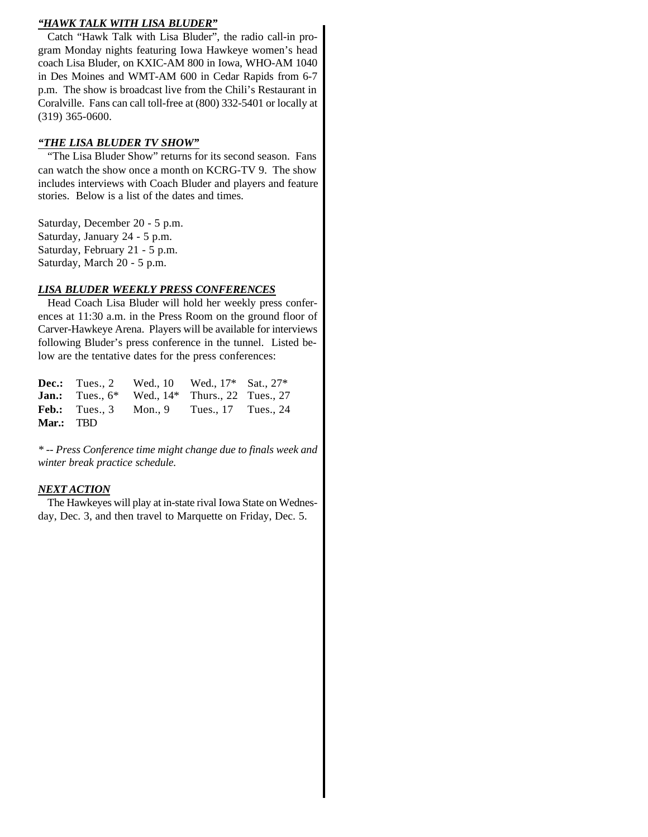#### *"HAWK TALK WITH LISA BLUDER"*

Catch "Hawk Talk with Lisa Bluder", the radio call-in program Monday nights featuring Iowa Hawkeye women's head coach Lisa Bluder, on KXIC-AM 800 in Iowa, WHO-AM 1040 in Des Moines and WMT-AM 600 in Cedar Rapids from 6-7 p.m. The show is broadcast live from the Chili's Restaurant in Coralville. Fans can call toll-free at (800) 332-5401 or locally at (319) 365-0600.

#### *"THE LISA BLUDER TV SHOW"*

"The Lisa Bluder Show" returns for its second season. Fans can watch the show once a month on KCRG-TV 9. The show includes interviews with Coach Bluder and players and feature stories. Below is a list of the dates and times.

Saturday, December 20 - 5 p.m. Saturday, January 24 - 5 p.m. Saturday, February 21 - 5 p.m. Saturday, March 20 - 5 p.m.

#### *LISA BLUDER WEEKLY PRESS CONFERENCES*

Head Coach Lisa Bluder will hold her weekly press conferences at 11:30 a.m. in the Press Room on the ground floor of Carver-Hawkeye Arena. Players will be available for interviews following Bluder's press conference in the tunnel. Listed below are the tentative dates for the press conferences:

|           | <b>Dec.:</b> Tues., 2 Wed., 10 Wed., $17^*$ Sat., $27^*$    |  |
|-----------|-------------------------------------------------------------|--|
|           | <b>Jan.:</b> Tues., $6^*$ Wed., $14^*$ Thurs., 22 Tues., 27 |  |
|           | <b>Feb.:</b> Tues., $3$ Mon., $9$ Tues., $17$ Tues., $24$   |  |
| Mar.: TBD |                                                             |  |

*\* -- Press Conference time might change due to finals week and winter break practice schedule.*

#### *NEXT ACTION*

The Hawkeyes will play at in-state rival Iowa State on Wednesday, Dec. 3, and then travel to Marquette on Friday, Dec. 5.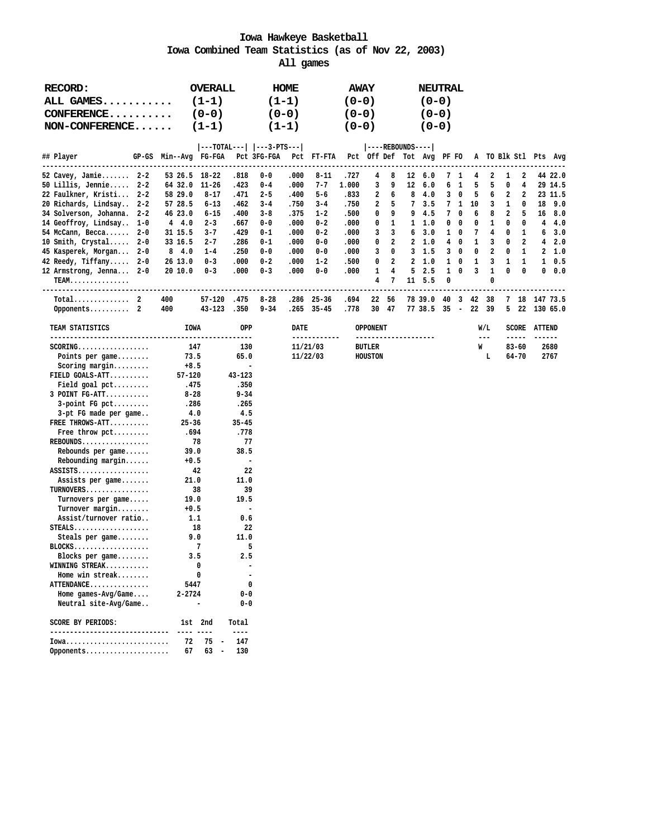#### **Iowa Hawkeye Basketball Iowa Combined Team Statistics (as of Nov 22, 2003) All games**

| RECORD:                                          |                                                                                             | OVERALL                   |          | HOME    |                  | <b>AWAY</b> |                                         |                |   | NEUTRAL            |   |                |              |                   |              |                |                        |               |
|--------------------------------------------------|---------------------------------------------------------------------------------------------|---------------------------|----------|---------|------------------|-------------|-----------------------------------------|----------------|---|--------------------|---|----------------|--------------|-------------------|--------------|----------------|------------------------|---------------|
| ALL GAMES                                        |                                                                                             | $(1-1)$                   |          | $(1-1)$ |                  | $(0-0)$     |                                         |                |   | $(0-0)$            |   |                |              |                   |              |                |                        |               |
| CONFERENCE                                       |                                                                                             | $(0-0)$                   |          | $(0-0)$ |                  | $(0-0)$     |                                         |                |   | $(0-0)$            |   |                |              |                   |              |                |                        |               |
|                                                  |                                                                                             |                           |          |         |                  |             |                                         |                |   |                    |   |                |              |                   |              |                |                        |               |
| NON-CONFERENCE                                   |                                                                                             | $(1-1)$                   |          | $(1-1)$ |                  | $(0-0)$     |                                         |                |   | $(0-0)$            |   |                |              |                   |              |                |                        |               |
|                                                  |                                                                                             | ---TOTAL---   ---3-PTS--- |          |         |                  |             | ----REBOUNDS----                        |                |   |                    |   |                |              |                   |              |                |                        |               |
| ## Player<br>-------<br>------------------------ | GP-GS Min--Avg FG-FGA Pct 3FG-FGA Pct FT-FTA Pct Off Def Tot Avg PF FO A TO Blk Stl Pts Avg |                           |          |         |                  |             |                                         |                |   |                    |   |                |              |                   |              |                |                        |               |
| 52 Cavey, Jamie $2-2$                            | 53 26.5 18-22                                                                               | .818                      | $0 - 0$  | .000    | 8-11             | .727        | 4                                       | 8              |   | 12 6.0             |   | 7 <sub>1</sub> | 4            | 2                 | 1            | 2              |                        | 44 22.0       |
| 50 Lillis, Jennie $2-2$                          | 64 32.0 11-26                                                                               | .423                      | $0 - 4$  | .000    | 7-7              | 1,000       | 3                                       | 9              |   | 12 6.0             |   | 6 <sub>1</sub> | 5            | 5                 | 0            | 4              |                        | 29 14.5       |
| 22 Faulkner, Kristi 2-2                          | 58 29.0                                                                                     | $8 - 17$<br>.471          | 2-5      | .400    | $5 - 6$          | .833        | 2                                       | 6              | 8 | 4.0                |   | $3 \quad 0$    | 5            | 6                 | 2            | 2              |                        | 23 11.5       |
| 20 Richards, Lindsay 2-2                         | 57 28.5                                                                                     | $6 - 13$<br>.462          | $3 - 4$  | .750    | $3 - 4$          | .750        | 2                                       | 5              |   | 7, 3.5             |   |                | 7 1 10       | 3                 | 1            | 0              | 18                     | 9.0           |
| 34 Solverson, Johanna. 2-2                       | 46 23.0                                                                                     | $6 - 15$<br>.400          | 3-8      | .375    | $1 - 2$          | .500        | 0                                       | 9              |   | 94.5               |   | 7 0            | 6            | 8                 | $\mathbf{2}$ | 5              |                        | 16 8.0        |
| 14 Geoffroy, Lindsay 1-0                         | $4 \t4.0$                                                                                   | $2 - 3$<br>.667           | $0 - 0$  | .000    | $0 - 2$          | .000        | 0                                       | $\mathbf{1}$   |   | $1 \t1.0$          |   | $0\quad 0$     | 0            | $\mathbf{1}$      | 0            | 0              |                        | 4, 4.0        |
| 54 McCann, Becca $2-0$                           | 31 15.5                                                                                     | .429<br>3-7               | 0-1      | .000    | $0 - 2$          | .000        | 3                                       | 3              |   | 6, 3.0             |   | $1 \quad 0$    | 7            | 4                 | 0            | 1              | 6                      | 3.0           |
| 10 Smith, Crystal 2-0                            | 33 16.5                                                                                     | .286<br>2-7               | 0-1      | .000    | $0 - 0$          | .000        | 0                                       | 2              |   | 2, 1.0             |   | $4\quad 0$     | 1            | 3                 | 0            | $\overline{2}$ |                        | 42.0          |
| 45 Kasperek, Morgan 2-0                          | 8 4.0                                                                                       | .250<br>$1 - 4$           | $0 - 0$  | .000    | $0 - 0$          | .000        | 3                                       | 0              |   | $3 \t1.5$          |   | $3 \quad 0$    | 0            | $\mathbf{2}$      | 0            | $\mathbf{1}$   |                        | 2, 1.0        |
| 42 Reedy, Tiffany 2-0                            | 26 13.0                                                                                     | $0 - 3$<br>.000           | $0 - 2$  | .000    | $1 - 2$          | .500        | 0                                       | $\overline{a}$ |   | 2, 1.0             |   | $1 \quad 0$    | $\mathbf{1}$ | 3                 | 1            | 1              |                        | $1 \t 0.5$    |
| 12 Armstrong, Jenna 2-0<br>$TEAM$                | 20 10.0                                                                                     | .000<br>$0 - 3$           | $0 - 3$  | .000    | $0 - 0$          | .000        | 1<br>4                                  | 4<br>7         |   | 52.5<br>11 5.5     | 0 | $1 \quad 0$    | 3            | $\mathbf{1}$<br>0 | 0            | 0              |                        | 0.0.0         |
| -----------------------------                    |                                                                                             |                           |          |         |                  |             |                                         |                |   |                    |   |                |              |                   |              |                |                        |               |
| $Total$ 2                                        | 400                                                                                         | 57-120.475                | $8 - 28$ |         | $.286$ $25 - 36$ | .694        | 22 56                                   |                |   | 78 39.0 40 3 42 38 |   |                |              |                   |              |                |                        | 7 18 147 73.5 |
| Opponents 2                                      | 400                                                                                         | 43-123<br>.350            | 9-34     |         | $.265$ 35-45     | .778        | 30 47                                   |                |   | 77 38.5 35 - 22 39 |   |                |              |                   |              |                |                        | 5 22 130 65.0 |
| TEAM STATISTICS                                  | <b>IOWA</b>                                                                                 | OPP                       |          | DATE    | ------------     |             | <b>OPPONENT</b><br>-------------------- |                |   |                    |   |                |              | W/L<br>$---$      |              | -----          | SCORE ATTEND<br>------ |               |
| $SCORING$                                        | 147                                                                                         | 130                       |          |         | 11/21/03         |             | <b>BUTLER</b>                           |                |   |                    |   |                | W            |                   |              | 83-60          |                        | 2680          |
| Points per game                                  | 73.5                                                                                        | 65.0                      |          |         | 11/22/03         |             | HOUSTON                                 |                |   |                    |   |                |              | Ъ                 |              | 64-70          |                        | 2767          |
| Scoring margin                                   | $+8.5$                                                                                      | $\overline{\phantom{a}}$  |          |         |                  |             |                                         |                |   |                    |   |                |              |                   |              |                |                        |               |
| FIELD GOALS-ATT                                  | 57-120                                                                                      | 43-123                    |          |         |                  |             |                                         |                |   |                    |   |                |              |                   |              |                |                        |               |
| Field goal $pt$                                  | .475                                                                                        | .350                      |          |         |                  |             |                                         |                |   |                    |   |                |              |                   |              |                |                        |               |
| 3 POINT FG-ATT                                   | $8 - 28$                                                                                    | $9 - 34$                  |          |         |                  |             |                                         |                |   |                    |   |                |              |                   |              |                |                        |               |
| $3$ -point FG pct                                | .286                                                                                        | .265                      |          |         |                  |             |                                         |                |   |                    |   |                |              |                   |              |                |                        |               |
| 3-pt FG made per game                            | 4.0                                                                                         | 4.5                       |          |         |                  |             |                                         |                |   |                    |   |                |              |                   |              |                |                        |               |
| FREE THROWS-ATT                                  | 25-36                                                                                       | $35 - 45$                 |          |         |                  |             |                                         |                |   |                    |   |                |              |                   |              |                |                        |               |
| Free throw pct                                   | .694                                                                                        | .778                      |          |         |                  |             |                                         |                |   |                    |   |                |              |                   |              |                |                        |               |
| $REBOUNDS$                                       | 78                                                                                          | 77                        |          |         |                  |             |                                         |                |   |                    |   |                |              |                   |              |                |                        |               |
| Rebounds per game                                | 39.0                                                                                        | 38.5                      |          |         |                  |             |                                         |                |   |                    |   |                |              |                   |              |                |                        |               |
| Rebounding margin                                | $+0.5$                                                                                      | $\overline{\phantom{a}}$  |          |         |                  |             |                                         |                |   |                    |   |                |              |                   |              |                |                        |               |
| ASSISTS                                          | 42                                                                                          | 22                        |          |         |                  |             |                                         |                |   |                    |   |                |              |                   |              |                |                        |               |
| Assists per game<br>TURNOVERS                    | 21.0<br>38                                                                                  | 11.0<br>39                |          |         |                  |             |                                         |                |   |                    |   |                |              |                   |              |                |                        |               |
| Turnovers per game                               | 19.0                                                                                        | 19.5                      |          |         |                  |             |                                         |                |   |                    |   |                |              |                   |              |                |                        |               |
| $Turnover margin$                                | $+0.5$                                                                                      | $\overline{\phantom{a}}$  |          |         |                  |             |                                         |                |   |                    |   |                |              |                   |              |                |                        |               |
| Assist/turnover ratio                            | 1.1                                                                                         | 0.6                       |          |         |                  |             |                                         |                |   |                    |   |                |              |                   |              |                |                        |               |
| $STEALS$                                         | 18                                                                                          | 22                        |          |         |                  |             |                                         |                |   |                    |   |                |              |                   |              |                |                        |               |
| Steals per game                                  | 9.0                                                                                         | 11.0                      |          |         |                  |             |                                         |                |   |                    |   |                |              |                   |              |                |                        |               |
| $BLOCKS$                                         | 7                                                                                           | 5                         |          |         |                  |             |                                         |                |   |                    |   |                |              |                   |              |                |                        |               |
| Blocks per game                                  | 3.5                                                                                         | 2.5                       |          |         |                  |             |                                         |                |   |                    |   |                |              |                   |              |                |                        |               |
| WINNING STREAK                                   | 0                                                                                           |                           |          |         |                  |             |                                         |                |   |                    |   |                |              |                   |              |                |                        |               |
| Home win streak                                  | 0                                                                                           |                           |          |         |                  |             |                                         |                |   |                    |   |                |              |                   |              |                |                        |               |
| ATTENDANCE                                       | 5447                                                                                        | 0                         |          |         |                  |             |                                         |                |   |                    |   |                |              |                   |              |                |                        |               |
| Home games-Avg/Game                              | 2-2724                                                                                      | 0-0                       |          |         |                  |             |                                         |                |   |                    |   |                |              |                   |              |                |                        |               |
| Neutral site-Avg/Game                            |                                                                                             | $0 - 0$                   |          |         |                  |             |                                         |                |   |                    |   |                |              |                   |              |                |                        |               |
| SCORE BY PERIODS:<br>-------------------------   | 1st 2nd                                                                                     | Total<br>----             |          |         |                  |             |                                         |                |   |                    |   |                |              |                   |              |                |                        |               |
| Iowa                                             | 72                                                                                          | 75<br>147                 |          |         |                  |             |                                         |                |   |                    |   |                |              |                   |              |                |                        |               |

 **Opponents..................... 67 63 - 130**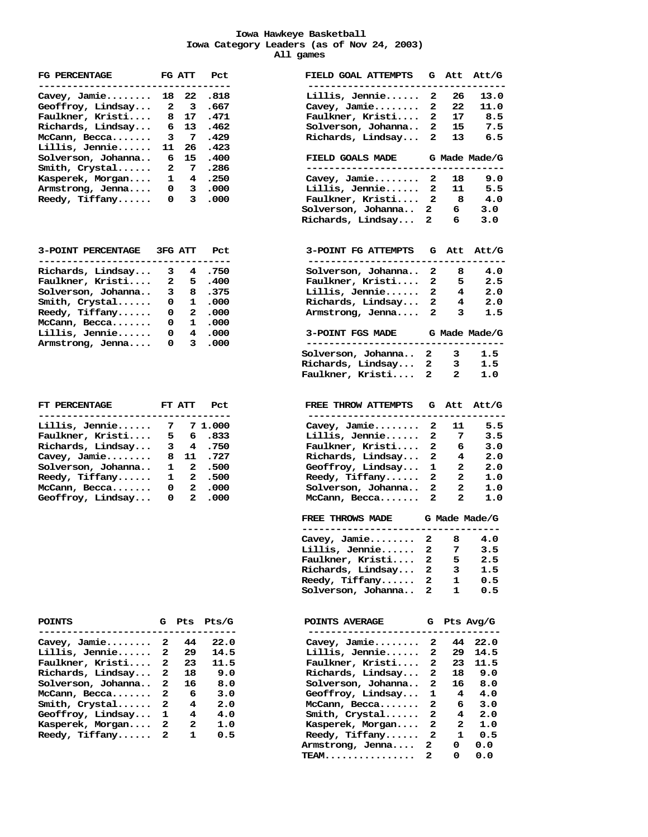#### **Iowa Hawkeye Basketball Iowa Category Leaders (as of Nov 24, 2003) All games**

| FG PERCENTAGE      | FG ATT       |    | Pct  |  |  |
|--------------------|--------------|----|------|--|--|
| Cavey, Jamie       | 18           | 22 | .818 |  |  |
| Geoffroy, Lindsay  | 2            | 3  | .667 |  |  |
| Faulkner, Kristi   | 8            | 17 | .471 |  |  |
| Richards, Lindsay  | 6            | 13 | .462 |  |  |
| McCann, Becca      | 3            | 7  | .429 |  |  |
| Lillis, Jennie     | 11           | 26 | .423 |  |  |
| Solverson, Johanna | 6            | 15 | .400 |  |  |
| Smith, Crystal     | $\mathbf{z}$ | 7  | .286 |  |  |
| Kasperek, Morgan   | 1.           | 4  | .250 |  |  |
| Armstrong, Jenna   | o            | 3  | .000 |  |  |
| Reedy, Tiffany     | ი            | 3  | .000 |  |  |
|                    |              |    |      |  |  |

| 3-POINT PERCENTAGE |   | 3FG ATT | Pct  |
|--------------------|---|---------|------|
| Richards, Lindsay  | 3 | 4       | .750 |
| Faulkner, Kristi   | 2 | 5       | .400 |
| Solverson, Johanna | 3 | 8       | .375 |
| Smith, Crystal     | o | 1.      | .000 |
| Reedy, Tiffany     | o | 2       | .000 |
| McCann, Becca      | 0 | 1       | .000 |
| Lillis, Jennie     | o | 4       | .000 |
| Armstrong, Jenna   | o | 3       | .000 |
|                    |   |         |      |

| FT PERCENTAGE      |    | FT ATT | Pct     |
|--------------------|----|--------|---------|
|                    |    |        |         |
| Lillis, Jennie     | 7  |        | 7 1.000 |
| Faulkner, Kristi   | 5. | 6      | .833    |
| Richards, Lindsay  | 3  | 4      | .750    |
| Cavey, Jamie       | 8  | 11     | .727    |
| Solverson, Johanna | 1. | 2      | .500    |
| Reedy, Tiffany     | 1  | 2      | .500    |
| McCann, Becca      | o  | 2      | .000    |
| Geoffroy, Lindsay  | ი  | 2      | 000ء    |

| <b>POINTS</b>         | G | Pts          | Pts/G | POINTS AVERAGE<br>G |              |              | Pts Avg/G |
|-----------------------|---|--------------|-------|---------------------|--------------|--------------|-----------|
| Cavey, Jamie $2$      |   | 44           | 22.0  | Cavey, Jamie 2      |              | 44           | 22.0      |
|                       |   |              |       |                     |              |              |           |
| Lillis, Jennie 2      |   | -29          | 14.5  | Lillis, Jennie 2    |              | -29          | 14.5      |
| Faulkner, Kristi 2 23 |   |              | 11.5  | Faulkner, Kristi 2  |              | 23           | 11.5      |
| Richards, Lindsay 2   |   | 18           | 9.0   | Richards, Lindsay   | $\mathbf{2}$ | 18           | 9.0       |
| Solverson, Johanna 2  |   | 16           | 8.0   | Solverson, Johanna  | -2           | 16           | 8.0       |
| McCann, Becca 2       |   | 6            | 3.0   | Geoffroy, Lindsay 1 |              | 4            | 4.0       |
| Smith, Crystal 2      |   | 4            | 2.0   | McCann, Becca 2     |              | 6            | 3.0       |
| Geoffroy, Lindsay 1   |   | 4            | 4.0   | $Smith, Crystal$ 2  |              | 4            | 2.0       |
| Kasperek, Morgan 2    |   | $\mathbf{2}$ | 1.0   | Kasperek, Morgan 2  |              | $\mathbf{2}$ | 1.0       |
| Reedy, Tiffany $2$    |   | 1            | 0.5   | Reedy, Tiffany 2    |              | 1            | 0.5       |
|                       |   |              |       | Armstrong, Jenna 2  |              | 0            | 0.0       |

 **TEAM................ 2 0 0.0**

| FG PERCENTAGE<br>.--------------------------------   |    | FG ATT                  | Pct                    | FIELD GOAL ATTEMPTS<br>G Att<br>--------------                                  | Att/G              |
|------------------------------------------------------|----|-------------------------|------------------------|---------------------------------------------------------------------------------|--------------------|
| Cavey, Jamie                                         | 18 | - 22                    | .818                   | Lillis, Jennie<br>2<br>26                                                       | 13.0               |
| Geoffroy, Lindsay                                    | 2  | $\overline{\mathbf{3}}$ | .667                   | $Cavey$ , Jamie<br>2<br>22                                                      | 11.0               |
| Faulkner, Kristi                                     |    | 8<br>17                 | .471                   | Faulkner, Kristi<br>2<br>17                                                     | 8.5                |
| Richards, Lindsay                                    |    | 13                      |                        | 15                                                                              |                    |
|                                                      |    | 6                       | .462                   | Solverson, Johanna<br>2                                                         | 7.5                |
| McCann, Becca                                        |    | 3 7                     | .429                   | Richards, Lindsay<br>2<br>13                                                    | 6.5                |
| Lillis, Jennie                                       |    |                         | 11 26 .423             |                                                                                 |                    |
| Solverson, Johanna                                   | 6  |                         | 15 .400                | FIELD GOALS MADE                                                                | G Made Made/G      |
| Smith, Crystal                                       | 2  | $\overline{7}$          | .286                   | ---------------------------------                                               |                    |
| Kasperek, Morgan                                     |    |                         | $1 \quad 4 \quad .250$ | Cavey, Jamie 2<br>18                                                            | 9.0                |
| Armstrong, Jenna                                     |    |                         | $0 \quad 3 \quad .000$ | Lillis, Jennie 2<br>11                                                          | 5.5                |
| Reedy, Tiffany                                       |    | $\mathbf{0}$            | 3.000                  | Faulkner, Kristi 2<br>8                                                         | 4.0                |
|                                                      |    |                         |                        | Solverson, Johanna<br>$\mathbf{2}$                                              | 6 —<br>3.0         |
|                                                      |    |                         |                        |                                                                                 |                    |
|                                                      |    |                         |                        | Richards, Lindsay<br>2                                                          | 6 —<br>3.0         |
| 3-POINT PERCENTAGE                                   |    | <b>3FG ATT</b>          | Pct<br>-----           | 3-POINT FG ATTEMPTS<br>---------------                                          | G Att Att/G        |
| Richards, Lindsay                                    |    |                         |                        |                                                                                 |                    |
|                                                      | 3  |                         | 4.750                  | 2<br>Solverson, Johanna<br>8                                                    | 4.0                |
| Faulkner, Kristi                                     | 2  |                         | 5.400                  | Faulkner, Kristi<br>2<br>5.                                                     | 2.5                |
| Solverson, Johanna                                   |    |                         | 3 8 .375               | Lillis, Jennie 2<br>$\overline{\mathbf{4}}$                                     | 2.0                |
| Smith, Crystal                                       |    |                         | $0 \quad 1 \quad .000$ | Richards, Lindsay 2<br>$-4$                                                     | 2.0                |
| Reedy, Tiffany                                       |    |                         | $0 \quad 2 \quad .000$ | Armstrong, Jenna 2<br>3                                                         | 1.5                |
| McCann, Becca                                        |    | $\mathbf{0}$            | 1.000                  |                                                                                 |                    |
| Lillis, Jennie                                       |    | $\mathbf{0}$            | 4.000                  | 3-POINT FGS MADE G Made Made/G                                                  |                    |
| Armstrong, Jenna                                     |    | 3<br>$\mathbf{0}$       | .000                   | -----------------------------------                                             |                    |
|                                                      |    |                         |                        | Solverson, Johanna<br>2<br>3                                                    | 1.5                |
|                                                      |    |                         |                        | Richards, Lindsay<br>$\mathbf{2}$<br>3                                          | 1.5                |
|                                                      |    |                         |                        |                                                                                 |                    |
|                                                      |    |                         |                        | Faulkner, Kristi<br>$\mathbf{2}$                                                | $2^{\circ}$<br>1.0 |
| FT PERCENTAGE<br>----------------------------------- |    | FT ATT                  | Pct                    | FREE THROW ATTEMPTS<br>G Att<br>------------------------------------            | Att/G              |
|                                                      | 7  |                         | 7 1.000                | 11                                                                              |                    |
| Lillis, Jennie                                       |    |                         |                        | Cavey, Jamie<br>2                                                               | 5.5                |
| Faulkner, Kristi                                     |    | 5                       | 6.833                  | Lillis, Jennie<br>-7<br>2                                                       | 3.5                |
| Richards, Lindsay                                    | 3  |                         | 4.750                  | 2<br>Faulkner, Kristi<br>6                                                      | 3.0                |
| Cavey, Jamie                                         |    |                         | 8 11 .727              | Richards, Lindsay<br>$\overline{\mathbf{4}}$<br>2                               | 2.0                |
| Solverson, Johanna                                   |    |                         | $1 \quad 2 \quad .500$ | Geoffroy, Lindsay<br>$\mathbf{1}$<br>2                                          | 2.0                |
| Reedy, Tiffany                                       |    |                         | $1 \quad 2 \quad .500$ | $\text{Reedy}, \text{Tiffany} \dots$<br>$\mathbf{2}$<br>$\overline{\mathbf{2}}$ | 1.0                |
| McCann, Becca                                        |    | $\mathbf{0}$            | 2.000                  | Solverson, Johanna<br>$\mathbf{2}$                                              | 2<br>1.0           |
| Geoffroy, Lindsay                                    |    | $\mathbf{0}$            | 2.000                  | $\mathbf{2}$<br>McCann, Becca 2                                                 | 1.0                |
|                                                      |    |                         |                        | FREE THROWS MADE G Made Made/G                                                  |                    |
|                                                      |    |                         |                        | ------------------------------------<br>Cavey, Jamie<br>2<br>8                  | 4.0                |
|                                                      |    |                         |                        | 2<br>7                                                                          | 3.5                |
|                                                      |    |                         |                        | Lillis, Jennie                                                                  |                    |
|                                                      |    |                         |                        | Faulkner, Kristi<br>2<br>5                                                      | 2.5                |
|                                                      |    |                         |                        | Richards, Lindsay<br>2<br>з                                                     | 1.5                |
|                                                      |    |                         |                        | $\text{Reedy}, \text{Tiffany} \dots$<br>2<br>1                                  | 0.5                |
|                                                      |    |                         |                        | Solverson, Johanna<br>1<br>2                                                    | 0.5                |
| <b>POINTS</b>                                        |    | G Pts                   | Pbs/G                  | POINTS AVERAGE<br>G                                                             | Pts Avg/G          |
| Cavey, Jamie                                         | 2  | 44                      | 22.0                   | Cavey, Jamie<br>2<br>44                                                         | 22.0               |
| Lillis, Jennie                                       | 2  | 29                      | 14.5                   | Lillis, Jennie<br>2<br>29                                                       | 14.5               |
| Faulkner, Kristi                                     |    |                         |                        |                                                                                 |                    |
|                                                      | 2  | 23                      | 11.5                   | Faulkner, Kristi<br>2<br>23                                                     | 11.5               |
| Richards, Lindsay                                    | 2  | 18                      | 9.0                    | Richards, Lindsay<br>2<br>18                                                    | 9.0                |
| Solverson, Johanna                                   | 2  | 16                      | 8.0                    | Solverson, Johanna<br>2<br>16                                                   | 8.0                |
| McCann, Becca                                        | 2  | 6                       | 3.0                    | Geoffroy, Lindsay<br>1<br>4                                                     | 4.0                |
| Smith, Crystal                                       | 2  | 4                       | 2.0                    | McCann, Becca<br>2<br>6                                                         | 3.0                |
| Geoffroy, Lindsay                                    | 1  | 4                       | 4.0                    | Smith, Crystal<br>2<br>4                                                        | 2.0                |
| Kasperek, Morgan                                     | 2  | 2                       | 1.0                    | 2<br>Kasperek, Morgan<br>2                                                      | 1.0                |
| Reedv, Tiffanv                                       | 2  | 1                       | 0.5                    | Reedy, Tiffany<br>2<br>ı                                                        | 0.5                |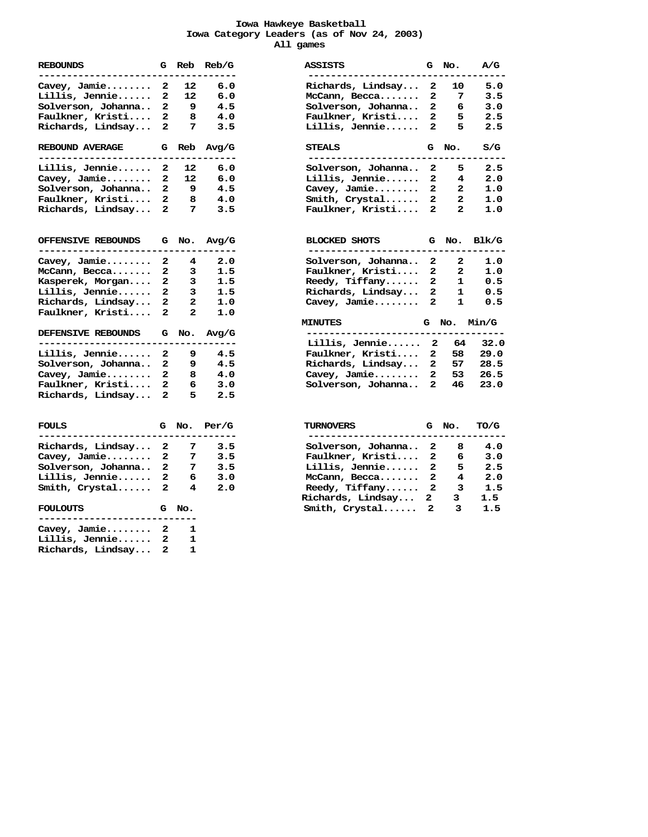#### **Iowa Hawkeye Basketball Iowa Category Leaders (as of Nov 24, 2003) All games**

| <b>REBOUNDS</b>    | G            | Reb   | Reb/G       | ASSISTS              |              | G No.                   | A/G         |
|--------------------|--------------|-------|-------------|----------------------|--------------|-------------------------|-------------|
| Cavey, Jamie       | 2            | 12    | 6.0         | Richards, Lindsay    | 2            | 10                      | 5.0         |
| Lillis, Jennie     | 2            | 12    | 6.0         | McCann, Becca        | 2            | 7                       | 3.5         |
| Solverson, Johanna | 2            | 9     | 4.5         | Solverson, Johanna   | $\mathbf{z}$ | 6                       | 3.0         |
| Faulkner, Kristi   | 2            | 8     | 4.0         | Faulkner, Kristi     | 2            | 5                       | 2.5         |
| Richards, Lindsay  | $\mathbf{2}$ | 7     | 3.5         | Lillis, Jennie       | $\mathbf{z}$ | 5                       | 2.5         |
|                    |              |       |             |                      |              |                         |             |
| REBOUND AVERAGE    |              |       | G Reb Avg/G | <b>STEALS</b>        |              | G No.                   | S/G         |
| Lillis, Jennie     | $\mathbf{2}$ | 12    | 6.0         | Solverson, Johanna   | 2            | 5                       | 2.5         |
| Cavey, Jamie       | 2            | 12    | 6.0         | Lillis, Jennie       | 2            | 4                       | 2.0         |
| Solverson, Johanna | 2            | 9     | 4.5         | Cavey, Jamie         | 2            | 2                       | 1.0         |
| Faulkner, Kristi   | $\mathbf{2}$ | 8     | 4.0         | Smith, Crystal       | $\mathbf{2}$ | 2                       | 1.0         |
| Richards, Lindsay  | $\mathbf{z}$ | 7     | 3.5         | Faulkner, Kristi     | 2            | 2                       | 1.0         |
|                    |              |       |             |                      |              |                         |             |
| OFFENSIVE REBOUNDS |              | G No. | Avg/G<br>-- | <b>BLOCKED SHOTS</b> |              | G No.                   | Blk/G       |
| Cavey, Jamie       | $\mathbf{2}$ | 4     | 2.0         | Solverson, Johanna   | 2            | 2                       | 1.0         |
| McCann, Becca      | $\mathbf{2}$ | 3     | 1.5         | Faulkner, Kristi     | $\mathbf{z}$ | $\overline{\mathbf{2}}$ | 1.0         |
| Kasperek, Morgan   | $\mathbf{2}$ | 3     | 1.5         | Reedy, $Tiffany$     | $\mathbf{2}$ | 1                       | 0.5         |
| Lillis, Jennie     | 2            | 3     | 1.5         | Richards, Lindsay    | 2            | 1                       | 0.5         |
| Richards, Lindsay  | 2            | 2     | 1.0         | Cavey, Jamie         | $\mathbf{z}$ | 1                       | 0.5         |
| Faulkner, Kristi   | 2            | 2     | 1.0         |                      |              |                         |             |
|                    |              |       |             | <b>MINUTES</b>       |              |                         | G No. Min/G |
| DEFENSIVE REBOUNDS |              | G No. | Avg/G       |                      |              |                         |             |
|                    |              |       |             | Lillis, Jennie       | 2            | 64                      | 32.0        |
| Lillis, Jennie     | 2            | 9     | 4.5         | Faulkner, Kristi     | 2            | 58                      | 29.0        |
| Solverson, Johanna | 2            | 9     | 4.5         | Richards, Lindsay    | 2            | 57                      | 28.5        |
| Cavey, Jamie       | $\mathbf{z}$ | 8     | 4.0         | Cavey, Jamie         | $\mathbf{2}$ | 53                      | 26.5        |
| Faulkner, Kristi   | $\mathbf{2}$ | 6     | 3.0         | Solverson, Johanna   | 2            | 46                      | 23.0        |
| Richards, Lindsay  | 2            | 5     | 2.5         |                      |              |                         |             |
| FOULS              | G            | No.   | Per/G       | TURNOVERS            |              | G No.                   | TO/G        |
| Richards, Lindsay  | 2            | 7     | 3.5         | Solverson, Johanna   | $\mathbf{2}$ | 8                       | 4.0         |
| Cavey, Jamie       | 2            | 7     | 3.5         | Faulkner, Kristi     | 2            | 6                       | 3.0         |
| Solverson, Johanna | $\mathbf{z}$ | 7     | 3.5         | Lillis, Jennie       | $\mathbf{2}$ | 5                       | 2.5         |
| Lillis, Jennie     | 2            | 6     | 3.0         | McCann, Becca        | $\mathbf{z}$ | 4                       | 2.0         |
| Smith, Crystal     | 2            | 4     | 2.0         | Reedy, Tiffany       | $\mathbf{2}$ | 3                       | 1.5         |
|                    |              |       |             | Richards, Lindsay    | 2            | 3                       | 1.5         |
| <b>FOULOUTS</b>    |              | G No. |             | Smith, Crystal       | 2            | 3                       | 1.5         |
|                    |              |       |             |                      |              |                         |             |
| Cavey, Jamie       | 2            | 1     |             |                      |              |                         |             |
| Lillis, Jennie     | 2            | 1     |             |                      |              |                         |             |
| Richards, Lindsay  | 2            | 1     |             |                      |              |                         |             |

| REBOUNDS                                                |                |              | G Reb Reb/G                                  | ASSISTS                              |                        | G No. | A/G          |
|---------------------------------------------------------|----------------|--------------|----------------------------------------------|--------------------------------------|------------------------|-------|--------------|
| $\mathtt{Cavey}$ , Jamie                                | $\mathbf{2}$   | 12           | . _ _ _ _ _ _ _ _ _ _ _ _ _ _ _ _ _ _<br>6.0 | ------------<br>Richards, Lindsay    | ------<br>$\mathbf{2}$ | 10    | ----<br>5.0  |
| Lillis, Jennie                                          | 2              | 12           | 6.0                                          | McCann, Becca                        | 2                      | 7     | 3.5          |
| Solverson, Johanna                                      | $\mathbf{2}$   | 9            | 4.5                                          | Solverson, Johanna                   | $\mathbf{2}$           | - 6   | 3.0          |
| Faulkner, Kristi                                        | $\mathbf{2}$   | 8            | 4.0                                          | Faulkner, Kristi                     | $\mathbf{2}$           | 5     | 2.5          |
| Richards, Lindsay                                       | 2              | 7            | 3.5                                          | Lillis, Jennie                       | $\mathbf{2}$           | 5     | 2.5          |
| REBOUND AVERAGE<br>------------------------------------ |                |              | G Reb Avg/G                                  | STEALS                               |                        | G No. | S/G<br>----- |
| Lillis, Jennie                                          | $\mathbf{2}$   | 12           | 6.0                                          | Solverson, Johanna                   | $\mathbf{2}$           | 5     | 2.5          |
| Cavey, Jamie                                            | $\mathbf{2}$   | 12           | 6.0                                          | Lillis, Jennie                       | $\mathbf{2}$           | 4     | 2.0          |
| Solverson, Johanna                                      | $\mathbf{2}$   | - 9          | 4.5                                          | Cavey, Jamie                         | $\mathbf{2}$           | 2     | 1.0          |
| Faulkner, Kristi                                        | $\mathbf{2}$   | 8            | 4.0                                          | Smith, Crystal                       | $\mathbf{2}$           | 2     | 1.0          |
| Richards, Lindsay                                       | 2              | 7            | 3.5                                          | Faulkner, Kristi                     | $\mathbf{2}$           | 2     | 1.0          |
| OFFENSIVE REBOUNDS                                      |                | G No.        | Avg/G                                        | BLOCKED SHOTS                        |                        | G No. | Blk/G        |
| Cavey, Jamie                                            | $\mathbf{2}$   | 4            | 2.0                                          | Solverson, Johanna                   | $\mathbf{2}$           | 2     | 1.0          |
| McCann, Becca                                           | $\mathbf{2}$   | 3            | 1.5                                          | Faulkner, Kristi                     | $\mathbf{2}$           | 2     | 1.0          |
| Kasperek, Morgan                                        | $\overline{a}$ | 3            | 1.5                                          | $\text{Reedy}, \text{Tiffany} \dots$ | $\mathbf{2}$           | 1     | 0.5          |
| Lillis, Jennie                                          | $\mathbf{2}$   | 3            | 1.5                                          | Richards, Lindsay                    | $\mathbf{2}$           | 1     | 0.5          |
| Richards, Lindsay                                       | $\mathbf{2}$   | 2            | 1.0                                          | $Cavey$ , Jamie                      | $\mathbf{2}$           | 1     | 0.5          |
| Faulkner, Kristi                                        | 2              | $\mathbf{2}$ | 1.0                                          |                                      |                        |       |              |
| DEFENSIVE REBOUNDS                                      |                | G No.        | Avg/G                                        | <b>MINUTES</b>                       |                        |       | G No. Min/G  |
|                                                         |                |              |                                              | Lillis, Jennie                       | 2                      | - 64  | 32.0         |
| Lillis, Jennie                                          | 2              | 9            | 4.5                                          | Faulkner, Kristi                     | $\mathbf{2}$           | 58    | 29.0         |
| Solverson, Johanna                                      | 2              | 9            | 4.5                                          | Richards, Lindsay                    | $\mathbf{2}$           | 57    | 28.5         |
| $\mathtt{Cavey}$ , Jamie                                | $\mathbf{2}$   | 8            | 4.0                                          | Cavey, Jamie                         | $\mathbf{2}$           | 53    | 26.5         |
| Faulkner, Kristi                                        | $\mathbf{2}$   | 6            | 3.0                                          | Solverson, Johanna                   | $\mathbf{2}$           | 46    | 23.0         |
| Richards, Lindsay                                       | 2              | 5.           | 2.5                                          |                                      |                        |       |              |
| FOULS                                                   |                | G No.        | Per/G                                        | TURNOVERS                            |                        | G No. | TO/G         |
|                                                         |                |              |                                              |                                      |                        |       |              |

| FOULS                | G No. | Per/G | TURNOVERS            | G | No. | TO/G |
|----------------------|-------|-------|----------------------|---|-----|------|
| Richards, Lindsay 2  |       | 3.5   | Solverson, Johanna 2 |   | 8   | 4.0  |
| $Cavey$ , Jamie 2    | -7    | 3.5   | Faulkner, Kristi 2   |   | 6   | 3.0  |
| Solverson, Johanna 2 |       | 3.5   | Lillis, Jennie 2     |   | 5   | 2.5  |
| Lillis, Jennie 2     | 6     | 3.0   | McCann, Becca 2      |   | 4   | 2.0  |
| Smith, Crystal 2     | 4     | 2.0   | Reedy, Tiffany 2     |   | 3   | 1.5  |
|                      |       |       | Richards, Lindsay 2  |   | 3   | 1.5  |
| FOULOUTS             | G No. |       | Smith, Crystal 2     |   |     | 1.5  |
|                      |       |       |                      |   |     |      |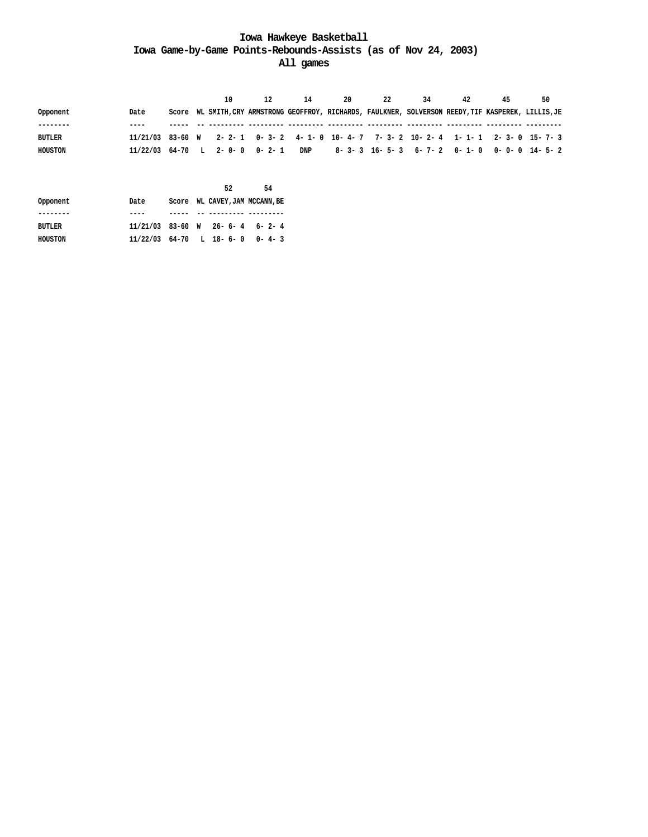#### **Iowa Hawkeye Basketball Iowa Game-by-Game Points-Rebounds-Assists (as of Nov 24, 2003) All games**

|          |                                                                           |       |  |  |  | 14                                                                                              |  | 20 |  | 22 | 34 |                                       | 42 |  | 45 |  | 50 |  |
|----------|---------------------------------------------------------------------------|-------|--|--|--|-------------------------------------------------------------------------------------------------|--|----|--|----|----|---------------------------------------|----|--|----|--|----|--|
| Opponent | Date                                                                      | Score |  |  |  | WL SMITH, CRY ARMSTRONG GEOFFROY, RICHARDS, FAULKNER, SOLVERSON REEDY, TIF KASPEREK, LILLIS, JE |  |    |  |    |    |                                       |    |  |    |  |    |  |
| -------- | ----                                                                      |       |  |  |  |                                                                                                 |  |    |  |    |    |                                       |    |  |    |  |    |  |
| BUTLER   | 11/21/03 83-60 W 2-2-1 0-3-2 4-1-0 10-4-7 7-3-2 10-2-4 1-1-1 2-3-0 15-7-3 |       |  |  |  |                                                                                                 |  |    |  |    |    |                                       |    |  |    |  |    |  |
| HOUSTON  | 11/22/03 64-70                                                            |       |  |  |  | L 2-0-0 0-2-1 DNP                                                                               |  |    |  |    |    | 8-3-3 16-5-3 6-7-2 0-1-0 0-0-0 14-5-2 |    |  |    |  |    |  |

|               |                                 |       |  | 52 | 54                       |  |
|---------------|---------------------------------|-------|--|----|--------------------------|--|
| Opponent      | Date                            | Score |  |    | WL CAVEY, JAM MCCANN, BE |  |
|               |                                 |       |  |    |                          |  |
| <b>BUTLER</b> | $11/21/03$ 83-60 W 26-6-4 6-2-4 |       |  |    |                          |  |
| HOUSTON       | $11/22/03$ 64-70 L 18-6-0 0-4-3 |       |  |    |                          |  |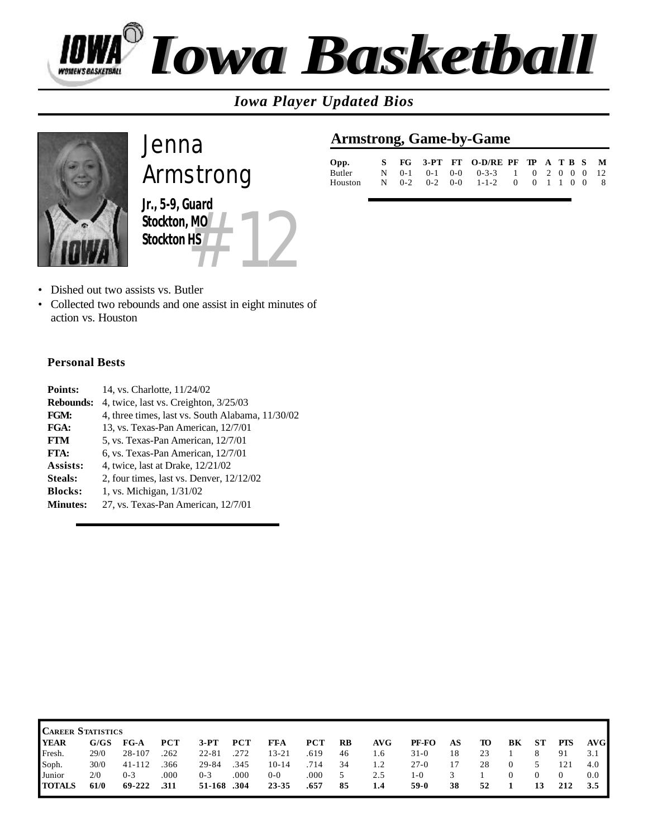

### *Iowa Player Updated Bios*



*#12 Jenna Armstrong Jr., 5-9, Guard Stockton, MO Stockton HS*

### **Armstrong, Game-by-Game**

| Opp.                                      |  |  | S FG 3-PT FT O-D/RE PF TP A T B S M |  |  |  |  |
|-------------------------------------------|--|--|-------------------------------------|--|--|--|--|
| Butler                                    |  |  | N 0-1 0-1 0-0 0-3-3 1 0 2 0 0 0 12  |  |  |  |  |
| Houston N 0-2 0-2 0-0 1-1-2 0 0 1 1 0 0 8 |  |  |                                     |  |  |  |  |

- Dished out two assists vs. Butler
- Collected two rebounds and one assist in eight minutes of action vs. Houston

| Points:          | 14, vs. Charlotte, 11/24/02                      |
|------------------|--------------------------------------------------|
| <b>Rebounds:</b> | 4, twice, last vs. Creighton, 3/25/03            |
| FGM:             | 4, three times, last vs. South Alabama, 11/30/02 |
| FGA:             | 13, vs. Texas-Pan American, 12/7/01              |
| <b>FTM</b>       | 5, vs. Texas-Pan American, 12/7/01               |
| FTA:             | 6, vs. Texas-Pan American, 12/7/01               |
| Assists:         | 4, twice, last at Drake, $12/21/02$              |
| <b>Steals:</b>   | 2, four times, last vs. Denver, $12/12/02$       |
| <b>Blocks:</b>   | 1, vs. Michigan, 1/31/02                         |
| <b>Minutes:</b>  | 27, vs. Texas-Pan American, 12/7/01              |

| <b>CAREER STATISTICS</b> |      |            |      |            |            |           |            |    |     |        |    |    |    |           |     |      |
|--------------------------|------|------------|------|------------|------------|-----------|------------|----|-----|--------|----|----|----|-----------|-----|------|
| <b>IYEAR</b>             | G/GS | $FG-A$     |      | $3-PT$     | <b>PCT</b> | FT-A      | <b>PCT</b> | RB | AVG | PF-FO  | AS | то | BК | <b>ST</b> | PTS | AVG- |
| Fresh.                   | 29/0 | 28-107     | .262 | $22 - 81$  | .272       | $13 - 21$ | .619       | 46 | 1.6 | $31-0$ | 18 | 23 |    |           | 91  | 3.1  |
| Soph.                    | 30/0 | $41 - 112$ | 366  | 29-84      | .345       | 10-14     | .714       | 34 | 1.2 | $27-0$ | 17 | 28 |    |           |     | 4.0  |
| Junior                   | 2/0  | 0-3        | .000 | $0 - 3$    | 000        | $0 - 0$   | .000       |    | 2.5 | 1-0    |    |    |    |           |     | 0.0  |
| <b>TOTALS</b>            | 61/0 | 69-222     | .311 | 51-168.304 |            | 23-35     | .657       | 85 | 1.4 | 59-0   | 38 | 52 |    | 13        | 212 | 3.5  |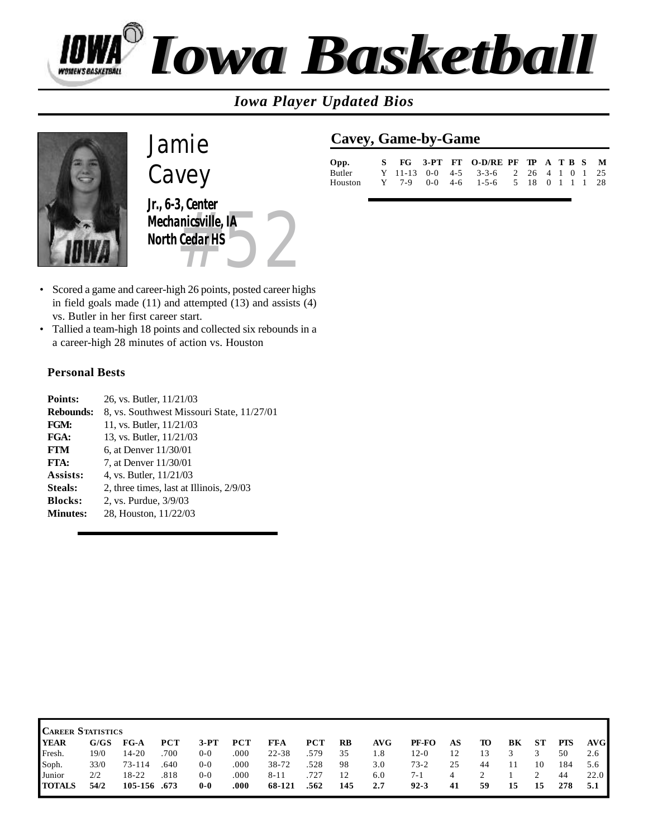

*Iowa Player Updated Bios*



*z*, center<br>anicsville, IA<br>anicsville, IA *Cavey Jr., 6-3, Center Mechanicsville, IA North Cedar HS*

• Scored a game and career-high 26 points, posted career highs in field goals made (11) and attempted (13) and assists (4) vs. Butler in her first career start.

*Jamie*

• Tallied a team-high 18 points and collected six rebounds in a a career-high 28 minutes of action vs. Houston

#### **Personal Bests**

| Points:          | 26, vs. Butler, 11/21/03                  |
|------------------|-------------------------------------------|
| <b>Rebounds:</b> | 8, vs. Southwest Missouri State, 11/27/01 |
| FGM:             | 11, vs. Butler, 11/21/03                  |
| FGA:             | 13, vs. Butler, 11/21/03                  |
| <b>FTM</b>       | 6, at Denver $11/30/01$                   |
| FTA:             | 7, at Denver 11/30/01                     |
| Assists:         | 4, vs. Butler, 11/21/03                   |
| <b>Steals:</b>   | 2, three times, last at Illinois, 2/9/03  |
| <b>Blocks:</b>   | 2, vs. Purdue, 3/9/03                     |
| <b>Minutes:</b>  | 28, Houston, 11/22/03                     |
|                  |                                           |

#### **Cavey, Game-by-Game**

| Opp.    |  |  | S FG 3-PT FT O-D/RE PF TP A T B S M   |  |  |  |  |
|---------|--|--|---------------------------------------|--|--|--|--|
| Butler  |  |  | Y 11-13 0-0 4-5 3-3-6 2 26 4 1 0 1 25 |  |  |  |  |
| Houston |  |  | Y 7-9 0-0 4-6 1-5-6 5 18 0 1 1 1 28   |  |  |  |  |

|               | <b>CAREER STATISTICS</b> |              |      |         |            |           |            |     |     |          |    |    |    |           |            |      |
|---------------|--------------------------|--------------|------|---------|------------|-----------|------------|-----|-----|----------|----|----|----|-----------|------------|------|
| <b>YEAR</b>   | G/GS                     | $FG-A$       |      | $3-PT$  | <b>PCT</b> | FT-A      | <b>PCT</b> | RB  | AVG | PF-FO    | AS | то | BК | <b>ST</b> | <b>PTS</b> | AVG  |
| Fresh.        | 19/0                     | 14-20        | .700 | $0 - 0$ | .000       | $22 - 38$ | .579       | 35  | 1.8 | $12-0$   | 12 | 13 |    |           | 50         | 2.6  |
| Soph.         | 33/0                     | $73 - 114$   | .640 | $0-0$   | .000       | 38-72     | .528       | 98  | 3.0 | $73 - 2$ | 25 | 44 |    | 10        | 184        | 5.6  |
| Junior        | 2/2                      | 18-22        | .818 | $0 - 0$ | 000        | $8 - 11$  | .727       | 12  | 6.0 | $7 - 1$  |    |    |    |           | 44         | 22.0 |
| <b>TOTALS</b> | 54/2                     | 105-156 .673 |      | $0-0$   | .000       | 68-121    | .562       | 145 | 2.7 | $92 - 3$ | 41 | 59 | 15 | 15        | 278        | 5.1  |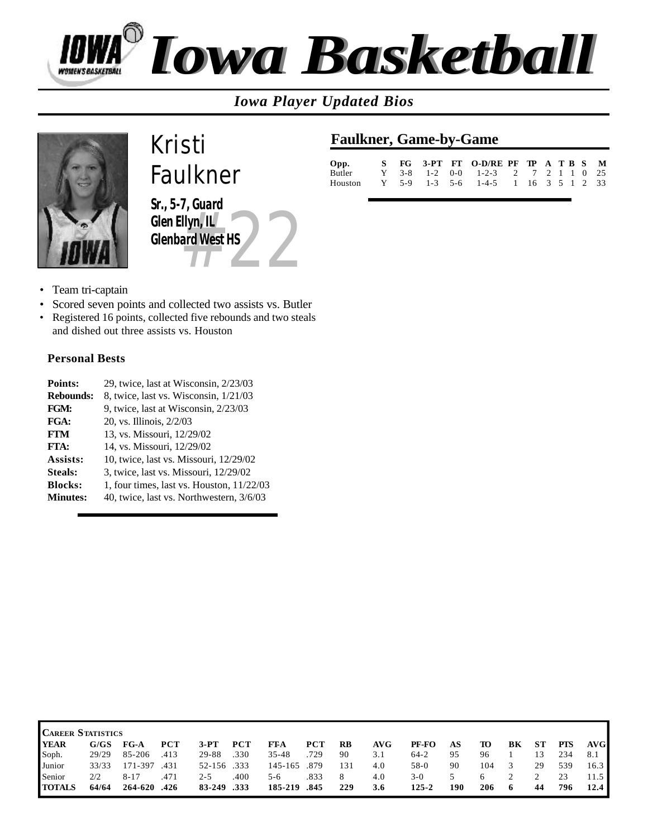

*Iowa Player Updated Bios*



*A*, Guand<br>Filyn, IL<br>ard West HS *Kristi Faulkner Sr., 5-7, Guard Glen Ellyn, IL Glenbard West HS*

### **Faulkner, Game-by-Game**

| Opp.                                        |  |  | S FG 3-PT FT O-D/RE PF TP A T B S M |  |  |  |  |
|---------------------------------------------|--|--|-------------------------------------|--|--|--|--|
| Butler                                      |  |  | Y 3-8 1-2 0-0 1-2-3 2 7 2 1 1 0 25  |  |  |  |  |
| Houston Y 5-9 1-3 5-6 1-4-5 1 16 3 5 1 2 33 |  |  |                                     |  |  |  |  |

- Team tri-captain
- Scored seven points and collected two assists vs. Butler
- Registered 16 points, collected five rebounds and two steals and dished out three assists vs. Houston

| Points:          | 29, twice, last at Wisconsin, 2/23/03       |
|------------------|---------------------------------------------|
| <b>Rebounds:</b> | 8, twice, last vs. Wisconsin, 1/21/03       |
| FGM:             | 9, twice, last at Wisconsin, 2/23/03        |
| <b>FGA:</b>      | 20, vs. Illinois, 2/2/03                    |
| <b>FTM</b>       | 13, vs. Missouri, 12/29/02                  |
| FTA:             | 14, vs. Missouri, 12/29/02                  |
| Assists:         | 10, twice, last vs. Missouri, 12/29/02      |
| <b>Steals:</b>   | 3, twice, last vs. Missouri, 12/29/02       |
| <b>Blocks:</b>   | 1, four times, last vs. Houston, $11/22/03$ |
| <b>Minutes:</b>  | 40, twice, last vs. Northwestern, 3/6/03    |
|                  |                                             |

| <b>CAREER STATISTICS</b> |       |              |      |             |            |           |            |     |     |           |     |     |    |           |            |      |
|--------------------------|-------|--------------|------|-------------|------------|-----------|------------|-----|-----|-----------|-----|-----|----|-----------|------------|------|
| <b>YEAR</b>              | G/GS  | $FG-A$       | РСТ  | $3-PT$      | <b>PCT</b> | FT-A      | <b>PCT</b> | RB  | AVG | PF-FO     | AS  | то  | BК | <b>ST</b> | <b>PTS</b> | AVG  |
| Soph.                    | 29/29 | 85-206       | .413 | 29-88       | .330       | $35 - 48$ | .729       | 90  | 3.1 | 64-2      | 95  | 96  |    |           | 234        | 8.1  |
| Junior                   | 33/33 | 171-397      | .431 | 52-156 .333 |            | 145-165   | .879       | 131 | 4.0 | $58-0$    | 90  | 104 |    | 29        | 539        | 16.3 |
| Senior                   | 2/2   | $8 - 17$     | .471 | $2 - 5$     | 400        | $5-6$     | .833       | 8   | 4.0 | $3-0$     |     |     |    |           |            |      |
| <b>TOTALS</b>            | 64/64 | 426. 264-620 |      | 83-249 .333 |            | 185-219   | .845       | 229 | 3.6 | $125 - 2$ | 190 | 206 | 6  | 44        | 796        | 12.4 |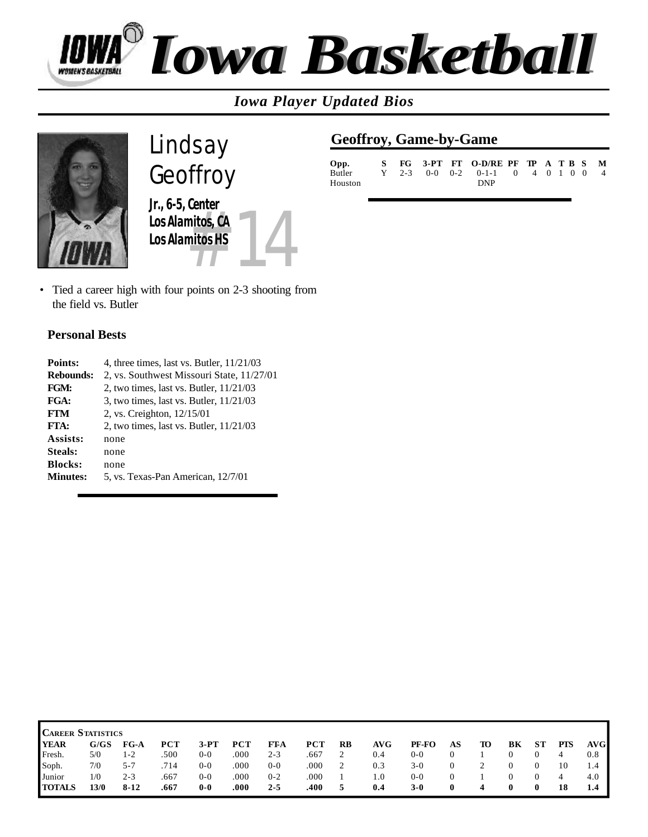

*Iowa Player Updated Bios*



*terner*<br>*mitos*, *CA*<br>*mitos* HS<br>// *Lindsay Geoffroy Jr., 6-5, Center Los Alamitos, CA Los Alamitos HS*

• Tied a career high with four points on 2-3 shooting from the field vs. Butler

| Points:         | 4, three times, last vs. Butler, $11/21/03$ |
|-----------------|---------------------------------------------|
| Rebounds:       | 2, vs. Southwest Missouri State, 11/27/01   |
| FGM:            | 2, two times, last vs. Butler, $11/21/03$   |
| FGA:            | 3, two times, last vs. Butler, $11/21/03$   |
| <b>FTM</b>      | 2, vs. Creighton, 12/15/01                  |
| FTA:            | 2, two times, last vs. Butler, $11/21/03$   |
| Assists:        | none                                        |
| Steals:         | none                                        |
| <b>Blocks:</b>  | none                                        |
| <b>Minutes:</b> | 5, vs. Texas-Pan American, 12/7/01          |
|                 |                                             |

| <b>Geoffroy, Game-by-Game</b> |  |
|-------------------------------|--|
|                               |  |

| Opp.    |  |  | S FG 3-PT FT O-D/RE PF TP A T B S M |  |  |  |  |
|---------|--|--|-------------------------------------|--|--|--|--|
| Butler  |  |  | Y 2-3 0-0 0-2 0-1-1 0 4 0 1 0 0 4   |  |  |  |  |
| Houston |  |  | DNP                                 |  |  |  |  |

| <b>CAREER STATISTICS</b> |      |          |      |         |      |         |            |    |     |         |          |    |    |    |     |     |
|--------------------------|------|----------|------|---------|------|---------|------------|----|-----|---------|----------|----|----|----|-----|-----|
| <b>YEAR</b>              | G/GS | FG-A     |      | $3-PT$  | PCT  | FT A    | <b>PCT</b> | RB | AVG | PF-FO   | AS       | TO | BК | SТ | PTS | AVG |
| Fresh.                   | 5/0  | 1-2      | .500 | $0 - 0$ | .000 | $2 - 3$ | .667       |    | 0.4 | $0 - 0$ |          |    |    |    | 4   | 0.8 |
| Soph.                    | 7/0  | $5 - 7$  | 714  | $0 - 0$ | .000 | $0 - 0$ | .000       |    | 0.3 | $3-0$   | 0        |    |    |    |     |     |
| Junior                   | 1/0  | $2 - 3$  | .667 | $0 - 0$ | .000 | $0 - 2$ | .000       |    | 1.0 | $0 - 0$ | $\theta$ |    |    |    | 4   | 4.0 |
| <b>TOTALS</b>            | 13/0 | $8 - 12$ | .667 | $0-0$   | .000 | $2 - 5$ | .400       | 5  | 0.4 | $3-0$   | $\bf{0}$ |    | 0  | 0  | 18  | 1.4 |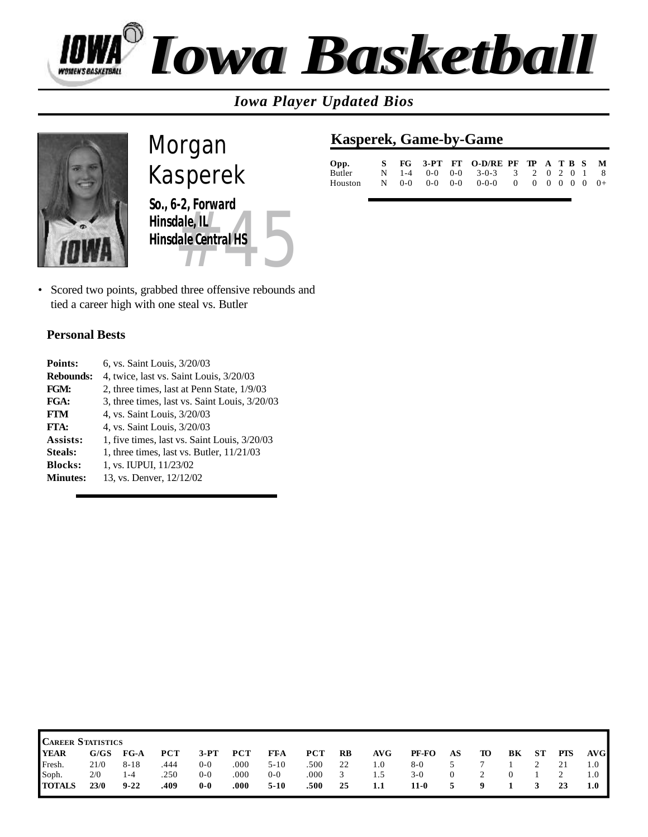

*Iowa Player Updated Bios*



*Hale, IL<br>Hale, IL<br>Hale Central HS Morgan Kasperek So., 6-2, Forward Hinsdale, IL Hinsdale Central HS*

• Scored two points, grabbed three offensive rebounds and tied a career high with one steal vs. Butler

| Points:          | 6, vs. Saint Louis, 3/20/03                   |
|------------------|-----------------------------------------------|
| <b>Rebounds:</b> | 4, twice, last vs. Saint Louis, 3/20/03       |
| FGM:             | 2, three times, last at Penn State, 1/9/03    |
| FGA:             | 3, three times, last vs. Saint Louis, 3/20/03 |
| <b>FTM</b>       | 4, vs. Saint Louis, 3/20/03                   |
| <b>FTA:</b>      | 4, vs. Saint Louis, 3/20/03                   |
| Assists:         | 1, five times, last vs. Saint Louis, 3/20/03  |
| <b>Steals:</b>   | 1, three times, last vs. Butler, $11/21/03$   |
| <b>Blocks:</b>   | 1, vs. IUPUI, 11/23/02                        |
| <b>Minutes:</b>  | 13, vs. Denver, 12/12/02                      |

| Opp.    |  |  | S FG 3-PT FT O-D/RE PF TP A T B S M  |  |  |  |  |
|---------|--|--|--------------------------------------|--|--|--|--|
| Butler  |  |  | N 1-4 0-0 0-0 3-0-3 3 2 0 2 0 1 8    |  |  |  |  |
| Houston |  |  | N 0-0 0-0 0-0 0-0-0 0 0 0 0 0 0 0 0+ |  |  |  |  |

| <b>CAREER STATISTICS</b> |      |          |            |         |            |          |            |    |     |       |    |   |    |           |            |         |
|--------------------------|------|----------|------------|---------|------------|----------|------------|----|-----|-------|----|---|----|-----------|------------|---------|
| <b>YEAR</b>              | G/GS | $FG-A$   | <b>PCT</b> | $3-PT$  | <b>PCT</b> | FT A     | <b>PCT</b> | RB | AVG | PF-FO | AS | Ю | BК | <b>ST</b> | <b>PTS</b> | AVG     |
| Fresh.                   | 21/0 | $8 - 18$ | 444        | $0 - 0$ | .000       | $5 - 10$ | .500       | 22 | 1.0 | $8-0$ |    |   |    |           |            | L.O     |
| Soph.                    | 2/0  | 1-4      | .250       | $0 - 0$ | .000       | $0-0$    | .000       | 3  | 1.5 | $3-0$ |    |   |    |           |            | 1.0     |
| <b>TOTALS</b>            | 23/0 | $9 - 22$ | .409       | $0-0$   | .000       | $5 - 10$ | .500       | 25 | 1.1 | 11-0  | 5. | 0 |    |           | 23         | $1.0\,$ |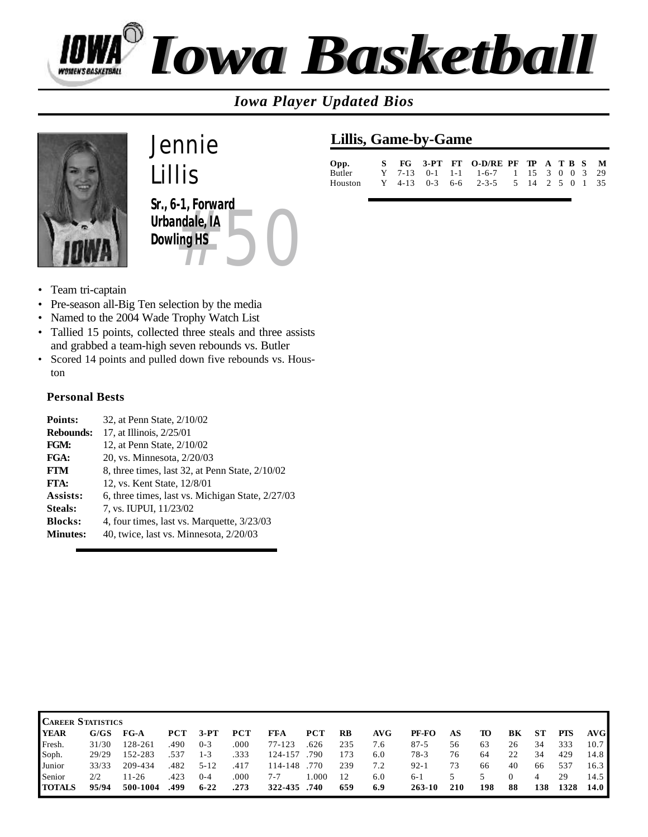

### *Iowa Player Updated Bios*



*#50 Lillis Sr., 6-1, Forward Urbandale, IA Dowling HS*

*Jennie*

### **Lillis, Game-by-Game**

| Opp.                                         |  |  | S FG 3-PT FT O-D/RE PF TP A T B S M  |  |  |  |  |
|----------------------------------------------|--|--|--------------------------------------|--|--|--|--|
| Butler                                       |  |  | Y 7-13 0-1 1-1 1-6-7 1 15 3 0 0 3 29 |  |  |  |  |
| Houston Y 4-13 0-3 6-6 2-3-5 5 14 2 5 0 1 35 |  |  |                                      |  |  |  |  |

- Team tri-captain
- Pre-season all-Big Ten selection by the media
- Named to the 2004 Wade Trophy Watch List
- Tallied 15 points, collected three steals and three assists and grabbed a team-high seven rebounds vs. Butler
- Scored 14 points and pulled down five rebounds vs. Houston

| <b>Points:</b>   | 32, at Penn State, 2/10/02                        |
|------------------|---------------------------------------------------|
| <b>Rebounds:</b> | 17, at Illinois, 2/25/01                          |
| FGM:             | 12, at Penn State, 2/10/02                        |
| FGA:             | 20, vs. Minnesota, 2/20/03                        |
| FTM              | 8, three times, last 32, at Penn State, $2/10/02$ |
| FTA:             | 12, vs. Kent State, 12/8/01                       |
| Assists:         | 6, three times, last vs. Michigan State, 2/27/03  |
| <b>Steals:</b>   | 7, vs. IUPUI, 11/23/02                            |
| Blocks:          | 4, four times, last vs. Marquette, $3/23/03$      |
| <b>Minutes:</b>  | 40, twice, last vs. Minnesota, 2/20/03            |
|                  |                                                   |

| <b>CAREER STATISTICS</b> |       |          |            |          |      |             |            |     |     |            |     |     |    |           |            |      |
|--------------------------|-------|----------|------------|----------|------|-------------|------------|-----|-----|------------|-----|-----|----|-----------|------------|------|
| <b>YEAR</b>              | G/GS  | $FG-A$   | <b>PCT</b> | $3-PT$   | PCT  | FT-A        | <b>PCT</b> | RB  | AVG | PF-FO      | AS  | TO  | BК | <b>ST</b> | <b>PTS</b> | AVG  |
| Fresh.                   | 31/30 | 128-261  | .490       | $0 - 3$  | .000 | 77-123      | .626       | 235 | 7.6 | $87 - 5$   | 56  | 63  | 26 | 34        | 333        | 10.7 |
| Soph.                    | 29/29 | 152-283  | .537       | $1 - 3$  | .333 | 124-157     | 790        | 173 | 6.0 | $78-3$     | 76  | 64  | 22 | 34        | 429        | 14.8 |
| Junior                   | 33/33 | 209-434  | .482       | $5 - 12$ | 417  | 114-148     | .770       | 239 | 7.2 | $92 - 1$   | 73  | 66  | 40 | 66        | 537        | 16.3 |
| Senior                   | 2/2   | $1 - 26$ | .423       | $0 - 4$  | .000 | $7 - 7$     | .000       | 12  | 6.0 | $6-1$      |     |     |    | 4         | 29         | 14.5 |
| <b>TOTALS</b>            | 95/94 | 500-1004 | .499       | $6 - 22$ | .273 | 322-435.740 |            | 659 | 6.9 | $263 - 10$ | 210 | 198 | 88 | 138       | 1328       | 14.0 |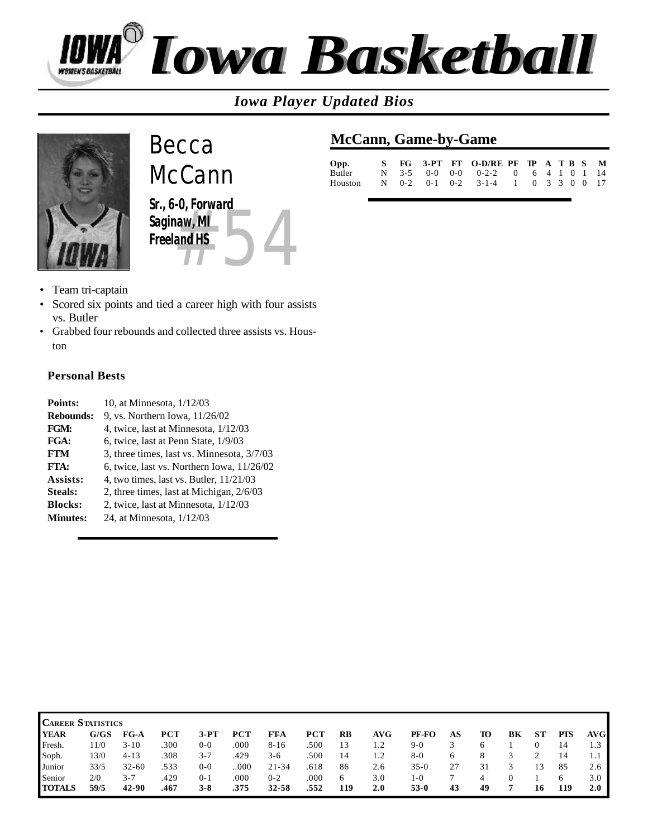

*Iowa Player Updated Bios*



*a*<br>*amy*, *MI*<br>*and HS Becca McCann Sr., 6-0, Forward Saginaw, MI Freeland HS*

| Opp.                                       |  |  | S FG 3-PT FT O-D/RE PF TP A T B S M |  |  |  |  |
|--------------------------------------------|--|--|-------------------------------------|--|--|--|--|
| Butler                                     |  |  | N 3-5 0-0 0-0 0-2-2 0 6 4 1 0 1 14  |  |  |  |  |
| Houston N 0-2 0-1 0-2 3-1-4 1 0 3 3 0 0 17 |  |  |                                     |  |  |  |  |

- Team tri-captain
- Scored six points and tied a career high with four assists vs. Butler
- Grabbed four rebounds and collected three assists vs. Houston

| Points:          | 10, at Minnesota, 1/12/03                  |
|------------------|--------------------------------------------|
| <b>Rebounds:</b> | 9, vs. Northern Iowa, $11/26/02$           |
| FGM:             | 4, twice, last at Minnesota, 1/12/03       |
| FGA:             | 6, twice, last at Penn State, 1/9/03       |
| <b>FTM</b>       | 3, three times, last vs. Minnesota, 3/7/03 |
| <b>FTA:</b>      | 6, twice, last vs. Northern Iowa, 11/26/02 |
| Assists:         | 4, two times, last vs. Butler, $11/21/03$  |
| Steals:          | 2, three times, last at Michigan, 2/6/03   |
| <b>Blocks:</b>   | 2, twice, last at Minnesota, 1/12/03       |
| Minutes:         | 24, at Minnesota, 1/12/03                  |
|                  |                                            |

| <b>CAREER STATISTICS</b> |      |           |      |         |          |           |            |     |     |         |    |    |    |           |              |     |
|--------------------------|------|-----------|------|---------|----------|-----------|------------|-----|-----|---------|----|----|----|-----------|--------------|-----|
| <b>YEAR</b>              | G/GS | $FG-A$    | РСТ  | $3-PT$  | РСТ      | FT-A      | <b>PCT</b> | RB  | AVG | PF-FO   | AS | то | BК | <b>ST</b> | PTS          | AVG |
| Fresh.                   | 11/0 | $3 - 10$  | .300 | $0 - 0$ | $.000\,$ | $8 - 16$  | .500       | 13  | 1.2 | $9-0$   |    |    |    |           | 14           |     |
| Soph.                    | 13/0 | $4 - 13$  | .308 | $3 - 7$ | .429     | $3-6$     | .500       | 14  | 1.2 | 8-0     |    |    |    |           | 14           |     |
| Junior                   | 33/5 | $32 - 60$ | .533 | 0-0     | .000     | $21 - 34$ | .618       | 86  | 2.6 | $35-0$  | 27 | 31 |    |           | 85           | 2.6 |
| Senior                   | 2/0  | $3 - 7$   | .429 | $0 - 1$ | .000     | $0 - 2$   | .000       | 6   | 3.0 | $1 - 0$ |    | 4  |    |           | <sub>0</sub> | 3.0 |
| <b>TOTALS</b>            | 59/5 | $42 - 90$ | .467 | $3 - 8$ | .375     | $32 - 58$ | .552       | 119 | 2.0 | $53-0$  | 43 | 49 |    | 16        | 119          | 2.0 |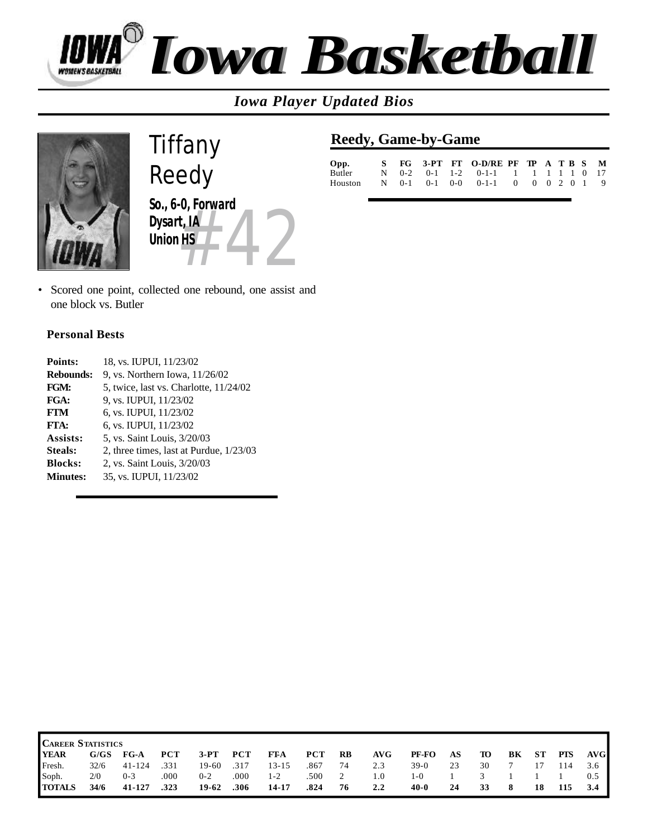

*Iowa Player Updated Bios*



 $\frac{4}{4}$ <br> $\frac{4}{4}$ <br> $\frac{4}{4}$ <br> $\frac{4}{4}$ *Tiffany Reedy So., 6-0, Forward Dysart, IA Union HS*

• Scored one point, collected one rebound, one assist and one block vs. Butler

#### **Personal Bests**

| Points:          | 18, vs. IUPUI, 11/23/02                   |
|------------------|-------------------------------------------|
| <b>Rebounds:</b> | 9, vs. Northern Iowa, $11/26/02$          |
| FGM:             | 5, twice, last vs. Charlotte, $11/24/02$  |
| FGA:             | 9, vs. IUPUI, 11/23/02                    |
| <b>FTM</b>       | 6, vs. IUPUI, 11/23/02                    |
| <b>FTA:</b>      | 6, vs. IUPUI, 11/23/02                    |
| Assists:         | 5, vs. Saint Louis, $3/20/03$             |
| Steals:          | 2, three times, last at Purdue, $1/23/03$ |
| <b>Blocks:</b>   | 2, vs. Saint Louis, $3/20/03$             |
| <b>Minutes:</b>  | 35, vs. IUPUI, 11/23/02                   |

| <b>CAREER STATISTICS</b> |      |            |            |         |            |           |            |    |               |          |    |        |    |           |      |            |
|--------------------------|------|------------|------------|---------|------------|-----------|------------|----|---------------|----------|----|--------|----|-----------|------|------------|
| <b>YEAR</b>              | G/GS | $FG-A$     | <b>PCT</b> | $3-PT$  | <b>PCT</b> | FT-A      | <b>PCT</b> | RB | AVG-          | PF-FO    | AS | TO     | BK | <b>ST</b> | PTS. | <b>AVG</b> |
| Fresh.                   | 32/6 | $41 - 124$ | .331       | 19-60   | .317       | $13 - 15$ | .867       | 74 | 2.3           | $39-0$   | 23 | 30     |    |           | 114  | 3.6        |
| Soph.                    | 2/0  | $0 - 3$    | .000       | $0 - 2$ | .000       | $1 - 2$   | .500       | 2  | 1.0           | $1 - 0$  |    | $\sim$ |    |           |      | 0.5        |
| <b>TOTALS</b>            | 34/6 | 41-127     | .323       | 19-62   | .306       | 14-17     | .824       | 76 | $2.2^{\circ}$ | $40 - 0$ | 24 | 33     | 8  | 18        | 115  | 3.4        |

#### **Reedy, Game-by-Game**

| Opp.                                      |  |  | S FG 3-PT FT O-D/RE PF TP A T B S M |  |  |  |  |
|-------------------------------------------|--|--|-------------------------------------|--|--|--|--|
| Butler                                    |  |  | N 0-2 0-1 1-2 0-1-1 1 1 1 1 1 0 17  |  |  |  |  |
| Houston N 0-1 0-1 0-0 0-1-1 0 0 0 2 0 1 9 |  |  |                                     |  |  |  |  |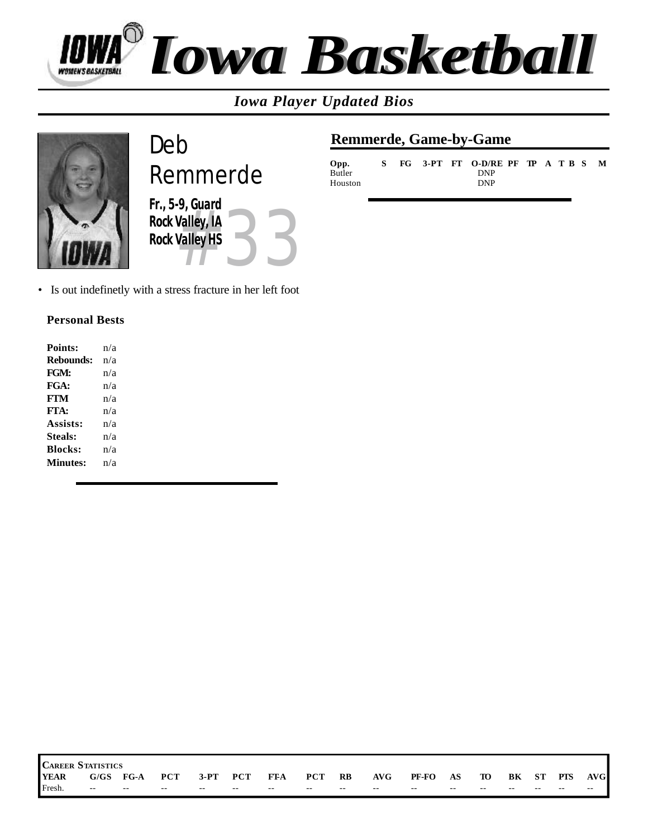

*Iowa Player Updated Bios*



*Walley, 14*<br>Valley, 14<br>Valley HS *Deb Remmerde Fr., 5-9, Guard Rock Valley, IA Rock Valley HS*

• Is out indefinetly with a stress fracture in her left foot

#### **Personal Bests**

| Points:         | n/a |
|-----------------|-----|
| Rebounds:       | n/a |
| FGM:            | n/a |
| FGA:            | n/a |
| <b>FTM</b>      | n/a |
| FTA:            | n/a |
| Assists:        | n/a |
| <b>Steals:</b>  | n/a |
| <b>Blocks:</b>  | n/a |
| <b>Minutes:</b> | n/a |
|                 |     |

#### **Remmerde, Game-by-Game**

| Opp.    |  |  | FG 3-PT FT O-D/RE PF TP A T B S |  |  | $\mathbf{M}$ |
|---------|--|--|---------------------------------|--|--|--------------|
| Butler  |  |  | <b>DNP</b>                      |  |  |              |
| Houston |  |  | <b>DNP</b>                      |  |  |              |

| <b>CAREER STATISTICS</b> |            |            |                          |        |            |             |               |                |       |       |                          |           |       |       |               |       |
|--------------------------|------------|------------|--------------------------|--------|------------|-------------|---------------|----------------|-------|-------|--------------------------|-----------|-------|-------|---------------|-------|
| <b>YEAR</b>              | G/GS       | $FG-A$     | <b>PCT</b>               | $3-PT$ | <b>PCT</b> | <b>FT-A</b> | <b>PCT</b>    | R <sub>B</sub> | AVG   | PF-FO | AS                       | <b>TO</b> | BK    | - ST  | <b>PTS</b>    | AVG   |
| Fresh.                   | $\sim$ $-$ | $\sim$ $-$ | $\overline{\phantom{m}}$ | $- -$  | $- -$      | $- -$       | $\sim$ $\sim$ | $- -$          | $- -$ | $- -$ | $\overline{\phantom{m}}$ | $- -$     | $- -$ | $- -$ | $\sim$ $\sim$ | $- -$ |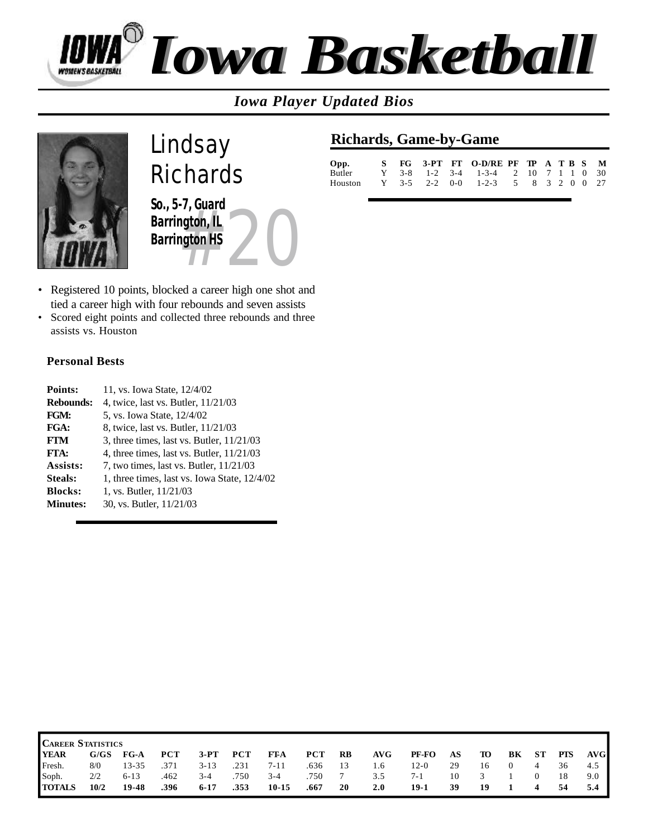

*Iowa Player Updated Bios*



-7, Guard<br>ngton, IV<br>ngton HS<br>2000 *Lindsay Richards So., 5-7, Guard Barrington, IL Barrington HS*

- Registered 10 points, blocked a career high one shot and tied a career high with four rebounds and seven assists
- Scored eight points and collected three rebounds and three assists vs. Houston

#### **Personal Bests**

| Points:          | 11, vs. Iowa State, 12/4/02                  |
|------------------|----------------------------------------------|
| <b>Rebounds:</b> | 4, twice, last vs. Butler, $11/21/03$        |
| FGM:             | 5, vs. Iowa State, 12/4/02                   |
| <b>FGA:</b>      | 8, twice, last vs. Butler, 11/21/03          |
| <b>FTM</b>       | 3, three times, last vs. Butler, $11/21/03$  |
| FTA:             | 4, three times, last vs. Butler, $11/21/03$  |
| Assists:         | 7, two times, last vs. Butler, $11/21/03$    |
| <b>Steals:</b>   | 1, three times, last vs. Iowa State, 12/4/02 |
| <b>Blocks:</b>   | 1, vs. Butler, 11/21/03                      |
| <b>Minutes:</b>  | 30, vs. Butler, 11/21/03                     |
|                  |                                              |

| <b>CAREER STATISTICS</b> |      |           |            |          |            |           |            |    |     |         |    |    |          |                         |            |     |
|--------------------------|------|-----------|------------|----------|------------|-----------|------------|----|-----|---------|----|----|----------|-------------------------|------------|-----|
| <b>YEAR</b>              | G/GS | $FG-A$    | <b>PCT</b> | $3-PT$   | <b>PCT</b> | FT-A      | <b>PCT</b> | RB | AVG | PF-FO   | AS | TO | BK       | $\mathbf{S} \mathbf{T}$ | <b>PTS</b> | AVG |
| Fresh.                   | 8/0  | $13 - 35$ | 371        | $3 - 13$ | .231       | 7-11      | .636       | 13 | 1.6 | $12-0$  | 29 | 16 | $\Omega$ |                         | 36         | 4.5 |
| Soph.                    | 2/2  | $6 - 13$  | .462       | $3 - 4$  | .750       | $3 - 4$   | .750       |    | 3.5 | $7 - 1$ | 10 |    |          |                         | 18         | 9.0 |
| <b>TOTALS</b>            | 10/2 | 19-48     | .396       | $6 - 17$ | .353       | $10 - 15$ | .667       | 20 | 2.0 | $19-1$  | 39 | 19 |          |                         | 54         | 5.4 |

#### **Richards, Game-by-Game**

| Opp.                                       |  |  | S FG 3-PT FT O-D/RE PF TP A T B S M |  |  |  |  |
|--------------------------------------------|--|--|-------------------------------------|--|--|--|--|
| Butler                                     |  |  | Y 3-8 1-2 3-4 1-3-4 2 10 7 1 1 0 30 |  |  |  |  |
| Houston Y 3-5 2-2 0-0 1-2-3 5 8 3 2 0 0 27 |  |  |                                     |  |  |  |  |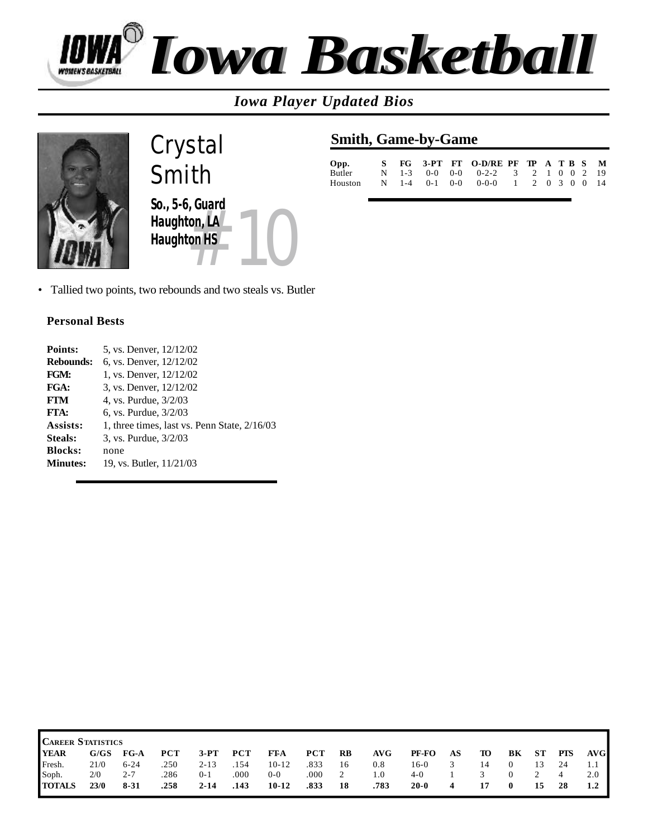

*Iowa Player Updated Bios*



*ton, LA<br> ton, LA<br>
<br>
<br>
<br>
<br>
<br>
<br>
<br>
<br>
<br>
<br>
<br>
<br>
<br>
<br> Crystal Smith So., 5-6, Guard Haughton, LA Haughton HS*

### **Smith, Game-by-Game**

| Opp.                                       |  |  | S FG 3-PT FT O-D/RE PF TP A T B S M |  |  |  |  |
|--------------------------------------------|--|--|-------------------------------------|--|--|--|--|
| Butler                                     |  |  | N 1-3 0-0 0-0 0-2-2 3 2 1 0 0 2 19  |  |  |  |  |
| Houston N 1-4 0-1 0-0 0-0-0 1 2 0 3 0 0 14 |  |  |                                     |  |  |  |  |

• Tallied two points, two rebounds and two steals vs. Butler

| Points:          | 5, vs. Denver, 12/12/02                      |
|------------------|----------------------------------------------|
| <b>Rebounds:</b> | 6, vs. Denver, 12/12/02                      |
| FGM:             | 1, vs. Denver, 12/12/02                      |
| FGA:             | 3, vs. Denver, 12/12/02                      |
| FTM              | 4, vs. Purdue, $3/2/03$                      |
| FTA:             | 6, vs. Purdue, $3/2/03$                      |
| Assists:         | 1, three times, last vs. Penn State, 2/16/03 |
| Steals:          | 3, vs. Purdue, 3/2/03                        |
| <b>Blocks:</b>   | none                                         |
| Minutes:         | 19, vs. Butler, 11/21/03                     |
|                  |                                              |

| <b>CAREER STATISTICS</b> |             |          |            |          |            |             |            |    |      |          |    |    |          |           |                |       |
|--------------------------|-------------|----------|------------|----------|------------|-------------|------------|----|------|----------|----|----|----------|-----------|----------------|-------|
| <b>YEAR</b>              | G/GS        | FG-A     | <b>PCT</b> | $3-PT$   | <b>PCT</b> | <b>FT-A</b> | <b>PCT</b> | RB | AVG- | PF-FO    | AS | Ю  | BК       | <b>ST</b> | <b>PTS</b>     | AVG I |
| Fresh.                   | 21/0        | $6 - 24$ | 250        | $2 - 13$ | .154       | $10-12$     | .833       | 16 | 0.8  | 16-0     |    | 14 |          | 13        |                |       |
| Soph.                    | 2/0         | $2 - 7$  | 286        | $0 - 1$  | .000       | $0 - 0$     | .000       |    | 1.0  | $4-0$    |    |    |          |           | $\overline{4}$ | 2.0   |
| <b>TOTALS</b>            | <b>23/0</b> | $8 - 31$ | .258       | $2 - 14$ | .143       | $10 - 12$   | .833       | 18 | .783 | $20 - 0$ | 4  |    | $\bf{0}$ | 15        | 28             | 1.2   |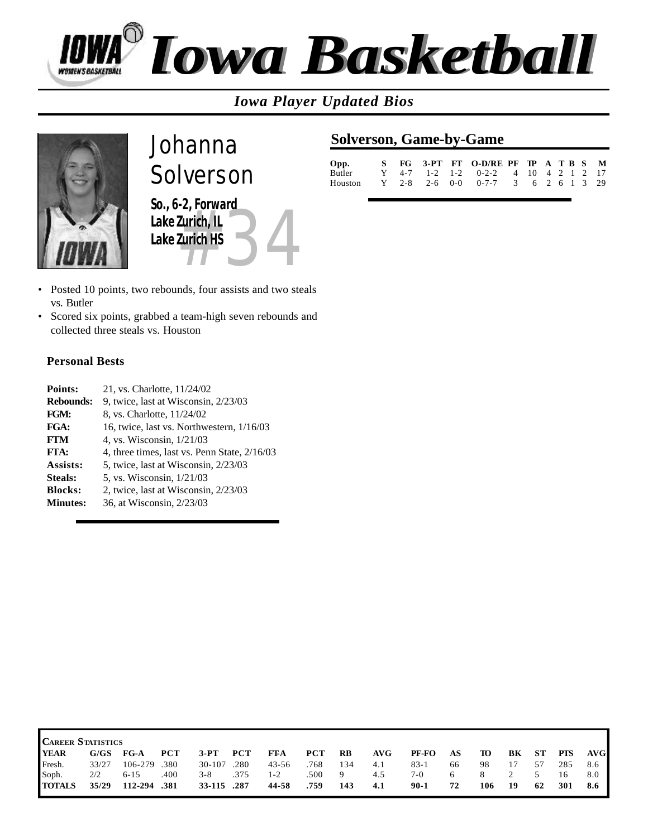

### *Iowa Player Updated Bios*



*Expression 2021<br>
<u>Zurich HS</u><br>
Zurich HS</u> Johanna Solverson So., 6-2, Forward Lake Zurich, IL Lake Zurich HS*

- Posted 10 points, two rebounds, four assists and two steals vs. Butler
- Scored six points, grabbed a team-high seven rebounds and collected three steals vs. Houston

#### **Personal Bests**

| Points:          | 21, vs. Charlotte, 11/24/02                  |
|------------------|----------------------------------------------|
|                  |                                              |
| <b>Rebounds:</b> | 9, twice, last at Wisconsin, 2/23/03         |
| FGM:             | 8, vs. Charlotte, 11/24/02                   |
| FGA:             | 16, twice, last vs. Northwestern, 1/16/03    |
| <b>FTM</b>       | 4, vs. Wisconsin, 1/21/03                    |
| FTA:             | 4, three times, last vs. Penn State, 2/16/03 |
| Assists:         | 5, twice, last at Wisconsin, 2/23/03         |
| <b>Steals:</b>   | 5, vs. Wisconsin, 1/21/03                    |
| <b>Blocks:</b>   | 2, twice, last at Wisconsin, 2/23/03         |
| <b>Minutes:</b>  | 36, at Wisconsin, 2/23/03                    |

| <b>CAREER STATISTICS</b> |       |              |            |             |      |             |            |     |     |        |    |     |       |    |            |     |
|--------------------------|-------|--------------|------------|-------------|------|-------------|------------|-----|-----|--------|----|-----|-------|----|------------|-----|
| <b>YEAR</b>              |       | $G/GS$ FG-A  | <b>PCT</b> | $3-PT$      | PCT  | <b>FT-A</b> | <b>PCT</b> | RB  | AVG | PF-FO  | AS | TO. | BK ST |    | <b>PTS</b> | AVG |
| Fresh.                   | 33/27 | 106-279 .380 |            | 30-107 .280 |      | $43 - 56$   | .768       | 134 | 4.1 | $83-1$ | 66 | 98  | 17    | 57 | 285        | 8.6 |
| Soph.                    | 2/2   | $6 - 15$     | .400       | $3 - 8$     | .375 | $1 - 2$     | .500       | - 9 | 4.5 | $7-0$  | 6  | 8   |       |    | 16         | 8.0 |
| <b>TOTALS</b>            | 35/29 | 112-294 .381 |            | 33-115 .287 |      | 44-58       | .759       | 143 | 4.1 | $90-1$ | 72 | 106 | - 19  | 62 | 301        | 8.6 |

#### **Solverson, Game-by-Game**

| Opp.                                       |  |  | S FG 3-PT FT O-D/RE PF TP A T B S M |  |  |  |  |
|--------------------------------------------|--|--|-------------------------------------|--|--|--|--|
| Butler                                     |  |  | Y 4-7 1-2 1-2 0-2-2 4 10 4 2 1 2 17 |  |  |  |  |
| Houston Y 2-8 2-6 0-0 0-7-7 3 6 2 6 1 3 29 |  |  |                                     |  |  |  |  |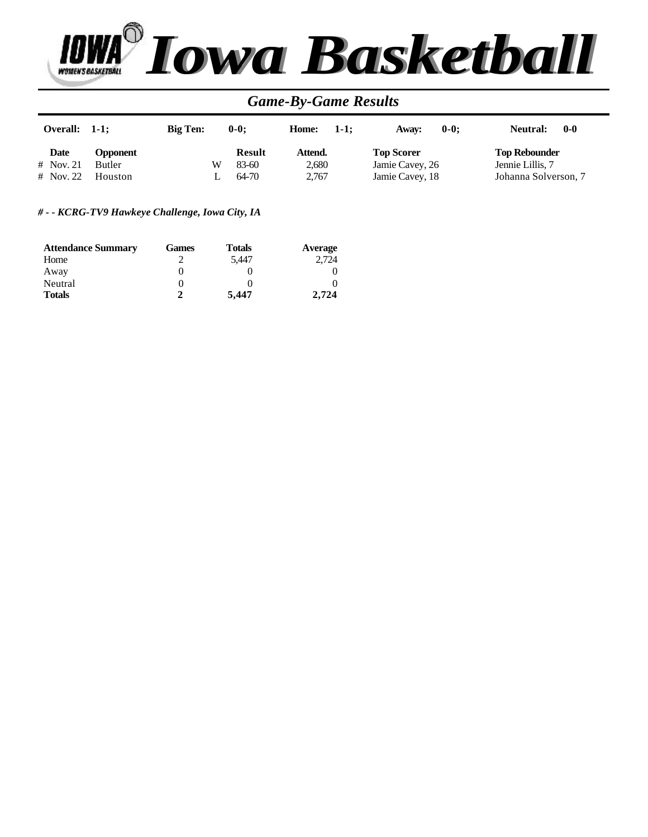

### *Game-By-Game Results*

| Overall: $1-1$ ; |                 | <b>Big Ten:</b> | $0 - 0:$      | Home:<br>$1-1:$ | $0 - 0:$<br>Awav: | $0-0$<br>Neutral:    |
|------------------|-----------------|-----------------|---------------|-----------------|-------------------|----------------------|
| Date             | <b>Opponent</b> |                 | <b>Result</b> | Attend.         | <b>Top Scorer</b> | <b>Top Rebounder</b> |
| # Nov. 21        | <b>Butler</b>   | W               | $83-60$       | 2.680           | Jamie Cavey, 26   | Jennie Lillis, 7     |
| $#$ Nov. 22      | Houston         |                 | 64-70         | 2.767           | Jamie Cavey, 18   | Johanna Solverson, 7 |

#### *# - - KCRG-TV9 Hawkeye Challenge, Iowa City, IA*

| <b>Attendance Summary</b> | Games | Totals | Average |
|---------------------------|-------|--------|---------|
| Home                      |       | 5.447  | 2.724   |
| Away                      |       |        |         |
| Neutral                   |       |        |         |
| <b>Totals</b>             | 2     | 5.447  | 2.724   |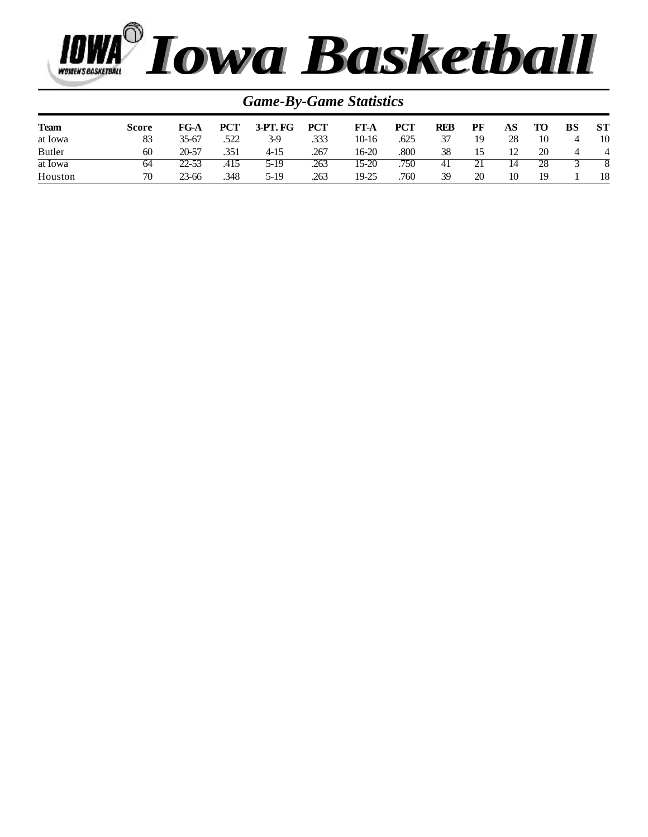

| <b>Game-By-Game Statistics</b> |       |           |            |                 |            |         |            |            |    |    |    |    |           |
|--------------------------------|-------|-----------|------------|-----------------|------------|---------|------------|------------|----|----|----|----|-----------|
| <b>Team</b>                    | Score | $FG-A$    | <b>PCT</b> | <b>3-PT. FG</b> | <b>PCT</b> | FT-A    | <b>PCT</b> | <b>REB</b> | PF | AS | TO | BS | <b>ST</b> |
| at Iowa                        | 83    | 35-67     | .522       | $3-9$           | .333       | $10-16$ | .625       | 37         | 19 | 28 | 10 | 4  | 10        |
| <b>Butler</b>                  | 60    | 20-57     | .351       | $4-15$          | .267       | 16-20   | .800       | 38         | 15 | 12 | 20 | 4  | 4         |
| at Iowa                        | 64    | 22-53     | .415       | 5-19            | .263       | 15-20   | .750       | 41         | 21 | 14 | 28 |    |           |
| Houston                        | 70    | $23 - 66$ | 348        | 5-19            | .263       | 19-25   | .760       | 39         | 20 | 10 | 19 |    | 18        |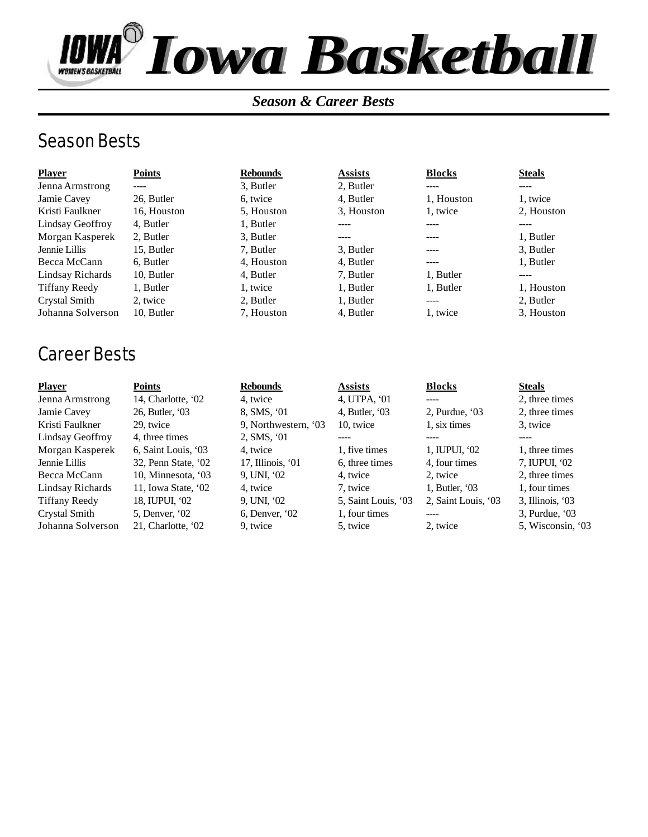

#### *Season & Career Bests*

### Season Bests

| <b>Player</b>        | <b>Points</b> | <b>Rebounds</b> | <b>Assists</b> | <b>Blocks</b> | <b>Steals</b> |
|----------------------|---------------|-----------------|----------------|---------------|---------------|
| Jenna Armstrong      | ----          | 3. Butler       | 2. Butler      |               | ----          |
| Jamie Cavey          | 26, Butler    | 6, twice        | 4, Butler      | 1. Houston    | 1, twice      |
| Kristi Faulkner      | 16. Houston   | 5. Houston      | 3. Houston     | 1, twice      | 2. Houston    |
| Lindsay Geoffroy     | 4. Butler     | 1, Butler       |                |               | ----          |
| Morgan Kasperek      | 2. Butler     | 3. Butler       | ----           |               | 1, Butler     |
| Jennie Lillis        | 15, Butler    | 7. Butler       | 3. Butler      | -----         | 3. Butler     |
| Becca McCann         | 6. Butler     | 4. Houston      | 4, Butler      |               | 1. Butler     |
| Lindsay Richards     | 10, Butler    | 4. Butler       | 7. Butler      | 1, Butler     | ----          |
| <b>Tiffany Reedy</b> | 1. Butler     | 1. twice        | 1. Butler      | 1, Butler     | 1, Houston    |
| Crystal Smith        | 2. twice      | 2. Butler       | 1, Butler      | ----          | 2. Butler     |
| Johanna Solverson    | 10, Butler    | 7. Houston      | 4, Butler      | 1. twice      | 3. Houston    |

### Career Bests

| <b>Player</b>        | <b>Points</b>       | <b>Rebounds</b>      | <b>Assists</b>      | <b>Blocks</b>       | <b>Steals</b>       |
|----------------------|---------------------|----------------------|---------------------|---------------------|---------------------|
| Jenna Armstrong      | 14, Charlotte, '02  | 4, twice             | 4, UTPA, '01        | $---$               | 2, three times      |
| Jamie Cavey          | 26, Butler, '03     | 8, SMS, '01          | 4, Butler, $03$     | 2, Purdue, '03      | 2, three times      |
| Kristi Faulkner      | 29. twice           | 9. Northwestern, '03 | 10, twice           | 1. six times        | 3, twice            |
| Lindsay Geoffroy     | 4. three times      | 2, SMS, '01          |                     |                     | ----                |
| Morgan Kasperek      | 6, Saint Louis, '03 | 4. twice             | 1, five times       | 1, IUPUI, '02       | 1, three times      |
| Jennie Lillis        | 32, Penn State, '02 | 17, Illinois, '01    | 6, three times      | 4. four times       | 7, IUPUI, '02       |
| Becca McCann         | 10, Minnesota, '03  | $9,$ UNI, $02$       | 4. twice            | 2. twice            | 2. three times      |
| Lindsay Richards     | 11, Iowa State, '02 | 4. twice             | 7. twice            | 1, Butler, $03$     | 1. four times       |
| <b>Tiffany Reedy</b> | 18, IUPUI, '02      | $9,$ UNI, $02$       | 5, Saint Louis, '03 | 2, Saint Louis, '03 | $3$ , Illinois, '03 |
| Crystal Smith        | $5$ , Denver, $02$  | $6$ , Denver, $02$   | 1, four times       |                     | 3, Purdue, '03      |
| Johanna Solverson    | 21, Charlotte, '02  | 9, twice             | 5, twice            | 2, twice            | 5, Wisconsin, '03   |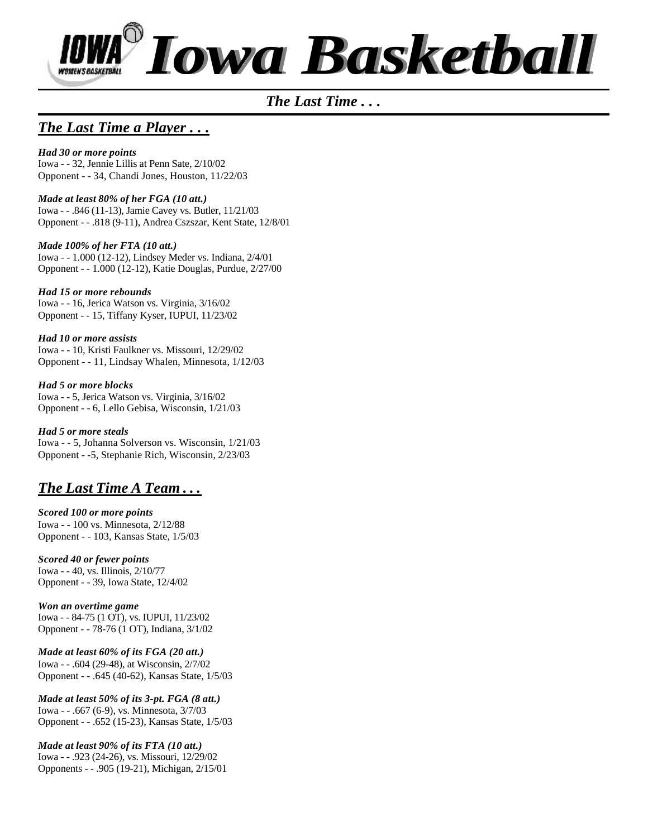

#### *The Last Time . . .*

### *The Last Time a Player . . .*

*Had 30 or more points* Iowa - - 32, Jennie Lillis at Penn Sate, 2/10/02 Opponent - - 34, Chandi Jones, Houston, 11/22/03

#### *Made at least 80% of her FGA (10 att.)*

Iowa - - .846 (11-13), Jamie Cavey vs. Butler, 11/21/03 Opponent - - .818 (9-11), Andrea Cszszar, Kent State, 12/8/01

#### *Made 100% of her FTA (10 att.)*

Iowa - - 1.000 (12-12), Lindsey Meder vs. Indiana, 2/4/01 Opponent - - 1.000 (12-12), Katie Douglas, Purdue, 2/27/00

#### *Had 15 or more rebounds*

Iowa - - 16, Jerica Watson vs. Virginia, 3/16/02 Opponent - - 15, Tiffany Kyser, IUPUI, 11/23/02

#### *Had 10 or more assists*

Iowa - - 10, Kristi Faulkner vs. Missouri, 12/29/02 Opponent - - 11, Lindsay Whalen, Minnesota, 1/12/03

#### *Had 5 or more blocks*

Iowa - - 5, Jerica Watson vs. Virginia, 3/16/02 Opponent - - 6, Lello Gebisa, Wisconsin, 1/21/03

#### *Had 5 or more steals*

Iowa - - 5, Johanna Solverson vs. Wisconsin, 1/21/03 Opponent - -5, Stephanie Rich, Wisconsin, 2/23/03

### *The Last Time A Team . . .*

#### *Scored 100 or more points* Iowa - - 100 vs. Minnesota, 2/12/88 Opponent - - 103, Kansas State, 1/5/03

#### *Scored 40 or fewer points*

Iowa - - 40, vs. Illinois, 2/10/77 Opponent - - 39, Iowa State, 12/4/02

#### *Won an overtime game*

Iowa - - 84-75 (1 OT), vs. IUPUI, 11/23/02 Opponent - - 78-76 (1 OT), Indiana, 3/1/02

#### *Made at least 60% of its FGA (20 att.)* Iowa - - .604 (29-48), at Wisconsin, 2/7/02 Opponent - - .645 (40-62), Kansas State, 1/5/03

*Made at least 50% of its 3-pt. FGA (8 att.)* Iowa - - .667 (6-9), vs. Minnesota, 3/7/03 Opponent - - .652 (15-23), Kansas State, 1/5/03

#### *Made at least 90% of its FTA (10 att.)*

Iowa - - .923 (24-26), vs. Missouri, 12/29/02 Opponents - - .905 (19-21), Michigan, 2/15/01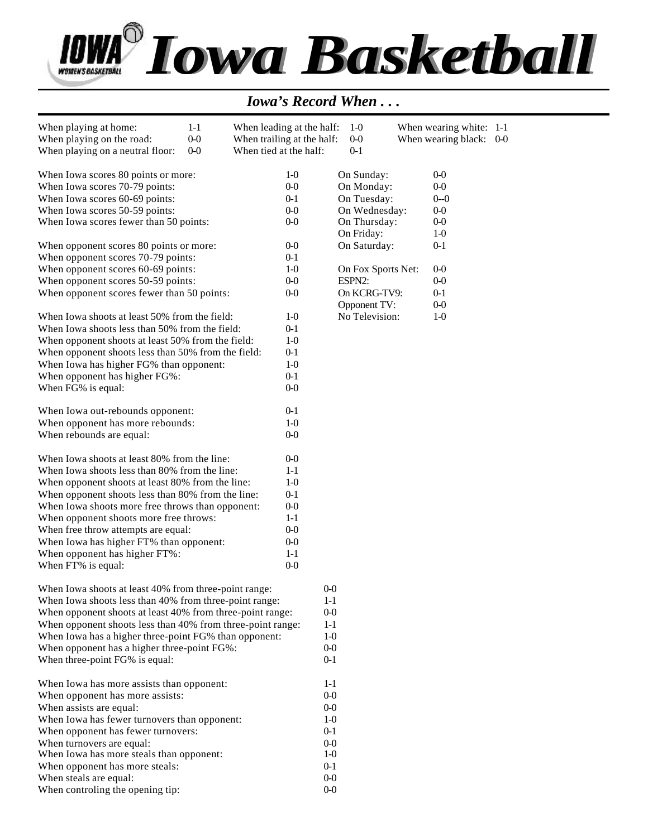

### *Iowa's Record When . . .*

| When playing at home:<br>When playing on the road:<br>When playing on a neutral floor: | $1 - 1$<br>$0-0$<br>$0-0$ | When tied at the half: | When leading at the half:<br>When trailing at the half: | $1-0$<br>$0-0$<br>$0 - 1$ | When wearing white: 1-1<br>When wearing black: 0-0 |  |
|----------------------------------------------------------------------------------------|---------------------------|------------------------|---------------------------------------------------------|---------------------------|----------------------------------------------------|--|
|                                                                                        |                           |                        |                                                         |                           |                                                    |  |
| When Iowa scores 80 points or more:                                                    |                           |                        | $1-0$                                                   | On Sunday:                | $0-0$                                              |  |
| When Iowa scores 70-79 points:                                                         |                           |                        | $0-0$                                                   | On Monday:                | $0-0$                                              |  |
| When Iowa scores 60-69 points:                                                         |                           |                        | $0-1$                                                   | On Tuesday:               | $0 - 0$                                            |  |
| When Iowa scores 50-59 points:                                                         |                           |                        | $0-0$                                                   | On Wednesday:             | $0-0$                                              |  |
| When Iowa scores fewer than 50 points:                                                 |                           |                        | $0-0$                                                   | On Thursday:              | $0-0$                                              |  |
|                                                                                        |                           |                        |                                                         | On Friday:                | $1-0$                                              |  |
| When opponent scores 80 points or more:                                                |                           |                        | $0-0$                                                   | On Saturday:              | $0 - 1$                                            |  |
| When opponent scores 70-79 points:                                                     |                           |                        | $0-1$                                                   |                           |                                                    |  |
| When opponent scores 60-69 points:                                                     |                           |                        | $1-0$                                                   | On Fox Sports Net:        | $0-0$                                              |  |
| When opponent scores 50-59 points:                                                     |                           |                        | $0-0$                                                   | ESPN2:                    | $0-0$                                              |  |
| When opponent scores fewer than 50 points:                                             |                           |                        | $0-0$                                                   | On KCRG-TV9:              | $0-1$                                              |  |
|                                                                                        |                           |                        |                                                         | Opponent TV:              | $0-0$                                              |  |
| When Iowa shoots at least 50% from the field:                                          |                           |                        | $1-0$                                                   | No Television:            | $1-0$                                              |  |
| When Iowa shoots less than 50% from the field:                                         |                           |                        | $0 - 1$                                                 |                           |                                                    |  |
| When opponent shoots at least 50% from the field:                                      |                           |                        | $1-0$                                                   |                           |                                                    |  |
| When opponent shoots less than 50% from the field:                                     |                           |                        | $0 - 1$                                                 |                           |                                                    |  |
| When Iowa has higher FG% than opponent:                                                |                           |                        | $1-0$                                                   |                           |                                                    |  |
| When opponent has higher FG%:                                                          |                           |                        | $0-1$                                                   |                           |                                                    |  |
| When FG% is equal:                                                                     |                           |                        | $0-0$                                                   |                           |                                                    |  |
| When Iowa out-rebounds opponent:                                                       |                           |                        | $0 - 1$                                                 |                           |                                                    |  |
| When opponent has more rebounds:                                                       |                           |                        | $1-0$                                                   |                           |                                                    |  |
| When rebounds are equal:                                                               |                           |                        | $0-0$                                                   |                           |                                                    |  |
| When Iowa shoots at least 80% from the line:                                           |                           |                        | $0-0$                                                   |                           |                                                    |  |
| When Iowa shoots less than 80% from the line:                                          |                           |                        | $1-1$                                                   |                           |                                                    |  |
| When opponent shoots at least 80% from the line:                                       |                           |                        | $1-0$                                                   |                           |                                                    |  |
| When opponent shoots less than 80% from the line:                                      |                           |                        | $0 - 1$                                                 |                           |                                                    |  |
| When Iowa shoots more free throws than opponent:                                       |                           |                        | $0-0$                                                   |                           |                                                    |  |
| When opponent shoots more free throws:                                                 |                           |                        | $1 - 1$                                                 |                           |                                                    |  |
| When free throw attempts are equal:                                                    |                           |                        | $0-0$                                                   |                           |                                                    |  |
| When Iowa has higher FT% than opponent:                                                |                           |                        | $0-0$                                                   |                           |                                                    |  |
| When opponent has higher FT%:                                                          |                           |                        | $1 - 1$                                                 |                           |                                                    |  |
| When FT% is equal:                                                                     |                           |                        | $0-0$                                                   |                           |                                                    |  |
| When Iowa shoots at least 40% from three-point range:                                  |                           |                        | $0-0$                                                   |                           |                                                    |  |
| When Iowa shoots less than 40% from three-point range:                                 |                           |                        | $1 - 1$                                                 |                           |                                                    |  |
| When opponent shoots at least 40% from three-point range:                              |                           |                        | $0-0$                                                   |                           |                                                    |  |
| When opponent shoots less than 40% from three-point range:                             |                           |                        | $1-1$                                                   |                           |                                                    |  |
| When Iowa has a higher three-point FG% than opponent:                                  |                           |                        | $1-0$                                                   |                           |                                                    |  |
| When opponent has a higher three-point FG%:                                            |                           |                        | $0-0$                                                   |                           |                                                    |  |
| When three-point FG% is equal:                                                         |                           |                        | $0 - 1$                                                 |                           |                                                    |  |
|                                                                                        |                           |                        |                                                         |                           |                                                    |  |
| When Iowa has more assists than opponent:                                              |                           |                        | $1 - 1$                                                 |                           |                                                    |  |
| When opponent has more assists:                                                        |                           |                        | $0-0$                                                   |                           |                                                    |  |
| When assists are equal:                                                                |                           |                        | $0-0$                                                   |                           |                                                    |  |
| When Iowa has fewer turnovers than opponent:                                           |                           |                        | $1-0$                                                   |                           |                                                    |  |
| When opponent has fewer turnovers:                                                     |                           |                        | $0 - 1$                                                 |                           |                                                    |  |
| When turnovers are equal:                                                              |                           |                        | $0-0$                                                   |                           |                                                    |  |
| When Iowa has more steals than opponent:                                               |                           |                        | $1-0$                                                   |                           |                                                    |  |
| When opponent has more steals:                                                         |                           |                        | $0-1$                                                   |                           |                                                    |  |
| When steals are equal:                                                                 |                           |                        | $0-0$                                                   |                           |                                                    |  |
| When controling the opening tip:                                                       |                           |                        | $0-0$                                                   |                           |                                                    |  |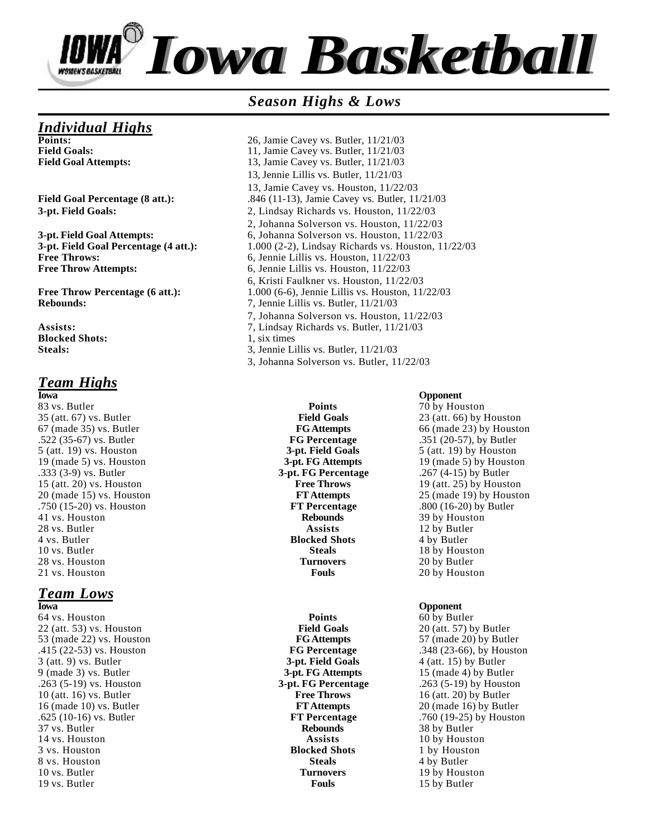

## *Individual Highs*

**Blocked Shots:** 1, six times

## *Team Highs*

**Iowa Opponent** 83 vs. Butler **Points** 70 by Houston<br>
35 (att. 67) vs. Butler **Points Points** 70 by Houston<br> **Points** 70 by Houston<br> **Points** 70 by Houston .522 (35-67) vs. Butler **FG Percentage** .351 (20-57), by Butler 5 (att. 19) vs. Houston **3-pt. Field Goals** 5 (att. 19) by Houston 19 (made 5) vs. Houston **3-pt. FG Attempts** 19 (made 5) by Houston .333 (3-9) vs. Butler **3-pt. FG Percentage** .267 (4-15) by Butler 15 (att. 20) vs. Houston **Free Throws** 19 (att. 25) by Houston .750 (15-20) vs. Houston **FT Percentage** .800 (16-20) by Butler 41 vs. Houston **Rebounds** 39 by Houston 41 vs. Houston **Rebounds** 39 by Houston **Rebounds** 39 by Houston 38 vs. Butler 28 vs. Butler **Assists** 12 by Butler **Assists** 12 by Butler 4 vs. Butler **Assists** 12 by Butler 10 vs. Butler **Steals** 18 by Houston 28 vs. Houston **Turnovers** 20 by Butler 21 vs. Houston **Fouls** 20 by Houston

## *Team Lows*

**Iowa Opponent** 64 vs. Houston **Points** 60 by Butler 22 (att. 53) vs. Houston **Field Goals** 20 (att. 57) by Butler 53 (made 22) vs. Houston **FG Attempts** 57 (made 20) by Butler 9 (made 3) vs. Butler **3-pt. FG Attempts** 15 (made 4) by Butler .263 (5-19) vs. Houston **3-pt. FG Percentage** .263 (5-19) by Houston 10 (att. 16) vs. Butler **Free Throws** 16 (att. 20) by Butler 16 (made 10) vs. Butler **FT Attempts** 20 (made 16) by Butler 37 vs. Butler **Rebounds** 38 by Butler 14 vs. Houston **Assists** 10 by Houston 3 vs. Houston **Blocked Shots** 1 by Houston 8 vs. Houston **Steals** 4 by Butler 10 vs. Butler **Turnovers** 19 by Houston 19 vs. Butler **Fouls** 15 by Butler

#### *Season Highs & Lows*

**Points:** 26, Jamie Cavey vs. Butler, 11/21/03 Field Goals: 11, Jamie Cavey vs. Butler,  $11/21/03$ Field Goal Attempts: 13, Jamie Cavey vs. Butler, 11/21/03 13, Jennie Lillis vs. Butler, 11/21/03 13, Jamie Cavey vs. Houston, 11/22/03 **Field Goal Percentage (8 att.):** .846 (11-13), Jamie Cavey vs. Butler, 11/21/03 **3-pt. Field Goals:** 2, Lindsay Richards vs. Houston, 11/22/03 2, Johanna Solverson vs. Houston, 11/22/03 **3-pt. Field Goal Attempts:** 6, Johanna Solverson vs. Houston, 11/22/03 **3-pt. Field Goal Percentage (4 att.):** 1.000 (2-2), Lindsay Richards vs. Houston, 11/22/03 **Free Throws:** 6, Jennie Lillis vs. Houston, 11/22/03 **Free Throw Attempts:** 6, Jennie Lillis vs. Houston, 11/22/03 6, Kristi Faulkner vs. Houston, 11/22/03 **Free Throw Percentage (6 att.):** 1.000 (6-6), Jennie Lillis vs. Houston, 11/22/03 **Rebounds:** 7, Jennie Lillis vs. Butler,  $11/21/03$ 7, Johanna Solverson vs. Houston, 11/22/03 **Assists:** 7, Lindsay Richards vs. Butler, 11/21/03 **Steals:** 3, Jennie Lillis vs. Butler, 11/21/03 3, Johanna Solverson vs. Butler, 11/22/03

**Blocked Shots** 

23 (att. 66) by Houston 67 (made 35) vs. Butler **FG Attempts** 66 (made 23) by Houston 20 (made 15) vs. Houston **FT Attempts** 25 (made 19) by Houston

.415 (22-53) vs. Houston **FG Percentage** .348 (23-66), by Houston **3-pt. Field Goals** 4 (att. 15) by Butler .625 (10-16) vs. Butler **FT Percentage** .760 (19-25) by Houston